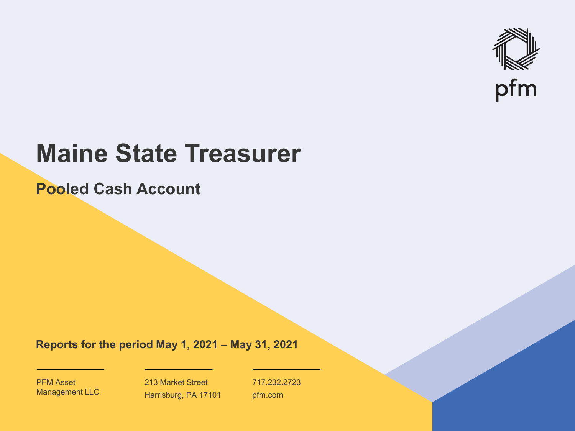

# **Maine State Treasurer**

**Pooled Cash Account**

**Reports for the period May 1, 2021 – May 31, 2021**

PFM Asset Management LLC

213 Market Street Harrisburg, PA 17101 717.232.2723 pfm.com

 $\mathcal{P}_\text{max}$  and  $\mathcal{P}_\text{max}$  is the probability of  $\mathcal{P}_\text{max}$  and  $\mathcal{P}_\text{max}$  and  $\mathcal{P}_\text{max}$  and  $\mathcal{P}_\text{max}$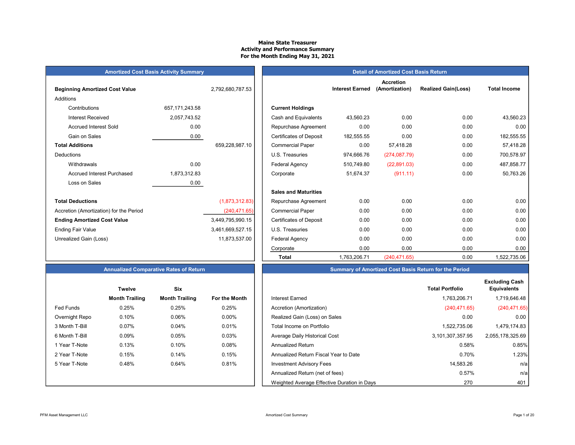#### Maine State Treasurer Activity and Performance Summary For the Month Ending May 31, 2021

#### **Amortized Cost Basis Activity Summary**

| <b>Beginning Amortized Cost Value</b>   |                  | 2,792,680,787.53 |                                | <b>Interest Earned</b> |
|-----------------------------------------|------------------|------------------|--------------------------------|------------------------|
| Additions                               |                  |                  |                                |                        |
| Contributions                           | 657, 171, 243.58 |                  | <b>Current Holdings</b>        |                        |
| <b>Interest Received</b>                | 2,057,743.52     |                  | Cash and Equivalents           | 43,560.23              |
| <b>Accrued Interest Sold</b>            | 0.00             |                  | Repurchase Agreement           | 0.00                   |
| Gain on Sales                           | 0.00             |                  | <b>Certificates of Deposit</b> | 182,555.55             |
| <b>Total Additions</b>                  |                  | 659,228,987.10   | <b>Commercial Paper</b>        | 0.00                   |
| Deductions                              |                  |                  | U.S. Treasuries                | 974,666.76             |
| Withdrawals                             | 0.00             |                  | <b>Federal Agency</b>          | 510,749.80             |
| Accrued Interest Purchased              | 1,873,312.83     |                  | Corporate                      | 51,674.37              |
| Loss on Sales                           | 0.00             |                  |                                |                        |
|                                         |                  |                  | <b>Sales and Maturities</b>    |                        |
| <b>Total Deductions</b>                 |                  | (1,873,312.83)   | Repurchase Agreement           | 0.00                   |
| Accretion (Amortization) for the Period |                  | (240, 471.65)    | <b>Commercial Paper</b>        | 0.00                   |
| <b>Ending Amortized Cost Value</b>      |                  | 3,449,795,990.15 | <b>Certificates of Deposit</b> | 0.00                   |
| <b>Ending Fair Value</b>                |                  | 3,461,669,527.15 | U.S. Treasuries                | 0.00                   |
| Unrealized Gain (Loss)                  |                  | 11,873,537.00    | Federal Agency                 | 0.00                   |
|                                         |                  |                  |                                | $\sim$ $\sim$ $\sim$   |

|                | <b>Twelve</b>         | Six                   |                      |
|----------------|-----------------------|-----------------------|----------------------|
|                | <b>Month Trailing</b> | <b>Month Trailing</b> | <b>For the Month</b> |
| Fed Funds      | 0.25%                 | 0.25%                 | 0.25%                |
| Overnight Repo | 0.10%                 | 0.06%                 | $0.00\%$             |
| 3 Month T-Bill | 0.07%                 | 0.04%                 | 0.01%                |
| 6 Month T-Bill | 0.09%                 | 0.05%                 | 0.03%                |
| 1 Year T-Note  | 0.13%                 | 0.10%                 | 0.08%                |
| 2 Year T-Note  | 0.15%                 | 0.14%                 | 0.15%                |
| 5 Year T-Note  | 0.48%                 | 0.64%                 | 0.81%                |
|                |                       |                       |                      |
|                |                       |                       |                      |

|                                         | <b>Amortized Cost Basis Activity Summary</b> |                  | <b>Detail of Amortized Cost Basis Return</b> |                        |                                    |                            |                     |  |  |  |  |  |
|-----------------------------------------|----------------------------------------------|------------------|----------------------------------------------|------------------------|------------------------------------|----------------------------|---------------------|--|--|--|--|--|
| <b>Beginning Amortized Cost Value</b>   |                                              | 2,792,680,787.53 |                                              | <b>Interest Earned</b> | <b>Accretion</b><br>(Amortization) | <b>Realized Gain(Loss)</b> | <b>Total Income</b> |  |  |  |  |  |
| Additions                               |                                              |                  |                                              |                        |                                    |                            |                     |  |  |  |  |  |
| Contributions                           | 657, 171, 243.58                             |                  | <b>Current Holdings</b>                      |                        |                                    |                            |                     |  |  |  |  |  |
| <b>Interest Received</b>                | 2,057,743.52                                 |                  | Cash and Equivalents                         | 43,560.23              | 0.00                               | 0.00                       | 43,560.23           |  |  |  |  |  |
| <b>Accrued Interest Sold</b>            | 0.00                                         |                  | Repurchase Agreement                         | 0.00                   | 0.00                               | 0.00                       | 0.00                |  |  |  |  |  |
| Gain on Sales                           | 0.00                                         |                  | <b>Certificates of Deposit</b>               | 182,555.55             | 0.00                               | 0.00                       | 182,555.55          |  |  |  |  |  |
| <b>Total Additions</b>                  |                                              | 659,228,987.10   | <b>Commercial Paper</b>                      | 0.00                   | 57,418.28                          | 0.00                       | 57,418.28           |  |  |  |  |  |
| <b>Deductions</b>                       |                                              |                  | U.S. Treasuries                              | 974,666.76             | (274,087.79)                       | 0.00                       | 700,578.97          |  |  |  |  |  |
| Withdrawals                             | 0.00                                         |                  | <b>Federal Agency</b>                        | 510,749.80             | (22,891.03)                        | 0.00                       | 487,858.77          |  |  |  |  |  |
| <b>Accrued Interest Purchased</b>       | 1,873,312.83                                 |                  | Corporate                                    | 51,674.37              | (911.11)                           | 0.00                       | 50,763.26           |  |  |  |  |  |
| Loss on Sales                           | 0.00                                         |                  |                                              |                        |                                    |                            |                     |  |  |  |  |  |
|                                         |                                              |                  | <b>Sales and Maturities</b>                  |                        |                                    |                            |                     |  |  |  |  |  |
| <b>Total Deductions</b>                 |                                              | (1,873,312.83)   | Repurchase Agreement                         | 0.00                   | 0.00                               | 0.00                       | 0.00                |  |  |  |  |  |
| Accretion (Amortization) for the Period |                                              | (240, 471.65)    | <b>Commercial Paper</b>                      | 0.00                   | 0.00                               | 0.00                       | 0.00                |  |  |  |  |  |
| <b>Ending Amortized Cost Value</b>      |                                              | 3,449,795,990.15 | <b>Certificates of Deposit</b>               | 0.00                   | 0.00                               | 0.00                       | 0.00                |  |  |  |  |  |
| Ending Fair Value                       |                                              | 3,461,669,527.15 | U.S. Treasuries                              | 0.00                   | 0.00                               | 0.00                       | 0.00                |  |  |  |  |  |
| Unrealized Gain (Loss)                  |                                              | 11,873,537.00    | <b>Federal Agency</b>                        | 0.00                   | 0.00                               | 0.00                       | 0.00                |  |  |  |  |  |
|                                         |                                              |                  | Corporate                                    | 0.00                   | 0.00                               | 0.00                       | 0.00                |  |  |  |  |  |
|                                         |                                              |                  | <b>Total</b>                                 | 1,763,206.71           | (240, 471.65)                      | 0.00                       | 1,522,735.06        |  |  |  |  |  |

### Annualized Comparative Rates of Return Summary of Amortized Cost Basis Return for the Period

|                  |                       |                       |               |                                             |                        | <b>Excluding Cash</b> |
|------------------|-----------------------|-----------------------|---------------|---------------------------------------------|------------------------|-----------------------|
|                  | <b>Twelve</b>         | <b>Six</b>            |               |                                             | <b>Total Portfolio</b> | <b>Equivalents</b>    |
|                  | <b>Month Trailing</b> | <b>Month Trailing</b> | For the Month | <b>Interest Earned</b>                      | 1,763,206.71           | 1,719,646.48          |
| <b>Fed Funds</b> | 0.25%                 | 0.25%                 | 0.25%         | Accretion (Amortization)                    | (240, 471.65)          | (240, 471.65)         |
| Overnight Repo   | 0.10%                 | 0.06%                 | $0.00\%$      | Realized Gain (Loss) on Sales               | 0.00                   | 0.00                  |
| 3 Month T-Bill   | 0.07%                 | 0.04%                 | 0.01%         | Total Income on Portfolio                   | 1,522,735.06           | 1,479,174.83          |
| 6 Month T-Bill   | 0.09%                 | 0.05%                 | 0.03%         | Average Daily Historical Cost               | 3,101,307,357.95       | 2,055,178,325.69      |
| 1 Year T-Note    | 0.13%                 | 0.10%                 | $0.08\%$      | <b>Annualized Return</b>                    | 0.58%                  | 0.85%                 |
| 2 Year T-Note    | 0.15%                 | 0.14%                 | 0.15%         | Annualized Return Fiscal Year to Date       | 0.70%                  | 1.23%                 |
| 5 Year T-Note    | 0.48%                 | 0.64%                 | 0.81%         | <b>Investment Advisory Fees</b>             | 14,583.26              | n/al                  |
|                  |                       |                       |               | Annualized Return (net of fees)             | 0.57%                  | n/al                  |
|                  |                       |                       |               | Weighted Average Effective Duration in Days | 270                    | 401                   |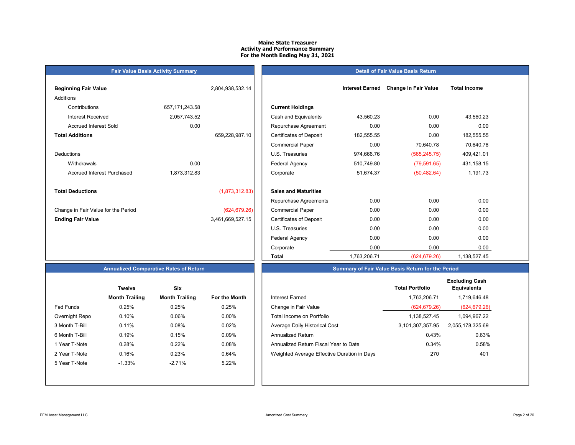#### Maine State Treasurer Activity and Performance Summary For the Month Ending May 31, 2021

## Fair Value Basis Activity Summary Beginning Fair Value 2,804,938,532.14 Additions Contributions 657,171,243.58 Accrued Interest Purchased 1,873,312.83 Total Deductions (1,873,312.83) Change in Fair Value for the Period (624,679.26)

| <b>Beginning Fair Value</b>         |                  | 2,804,938,532.14 |                                | <b>Interest Earned</b> | <b>Change in Fair Value</b> | <b>Total Income</b> |
|-------------------------------------|------------------|------------------|--------------------------------|------------------------|-----------------------------|---------------------|
| <b>Additions</b>                    |                  |                  |                                |                        |                             |                     |
| Contributions                       | 657, 171, 243.58 |                  | <b>Current Holdings</b>        |                        |                             |                     |
| <b>Interest Received</b>            | 2,057,743.52     |                  | Cash and Equivalents           | 43,560.23              | 0.00                        | 43,560.23           |
| <b>Accrued Interest Sold</b>        | 0.00             |                  | Repurchase Agreement           | 0.00                   | 0.00                        | 0.00                |
| <b>Total Additions</b>              |                  | 659,228,987.10   | <b>Certificates of Deposit</b> | 182,555.55             | 0.00                        | 182,555.55          |
|                                     |                  |                  | <b>Commercial Paper</b>        | 0.00                   | 70,640.78                   | 70,640.78           |
| Deductions                          |                  |                  | U.S. Treasuries                | 974,666.76             | (565, 245.75)               | 409,421.01          |
| Withdrawals                         | 0.00             |                  | Federal Agency                 | 510,749.80             | (79, 591.65)                | 431,158.15          |
| <b>Accrued Interest Purchased</b>   | 1,873,312.83     |                  | Corporate                      | 51,674.37              | (50, 482.64)                | 1,191.73            |
| <b>Total Deductions</b>             |                  | (1,873,312.83)   | <b>Sales and Maturities</b>    |                        |                             |                     |
|                                     |                  |                  | Repurchase Agreements          | 0.00                   | 0.00                        | 0.00                |
| Change in Fair Value for the Period |                  | (624, 679.26)    | <b>Commercial Paper</b>        | 0.00                   | 0.00                        | 0.00                |
| <b>Ending Fair Value</b>            |                  | 3,461,669,527.15 | <b>Certificates of Deposit</b> | 0.00                   | 0.00                        | 0.00                |
|                                     |                  |                  | U.S. Treasuries                | 0.00                   | 0.00                        | 0.00                |
|                                     |                  |                  | <b>Federal Agency</b>          | 0.00                   | 0.00                        | 0.00                |
|                                     |                  |                  | Corporate                      | 0.00                   | 0.00                        | 0.00                |
|                                     |                  |                  | <b>Total</b>                   | 1,763,206.71           | (624, 679.26)               | 1,138,527.45        |

Detail of Fair Value Basis Return

#### Summary of Fair Value Basis Return for the Period

|                  | <b>Twelve</b>         | Six                   |               |                                             | <b>Total Portfolio</b> | <b>Excluding Cash</b><br><b>Equivalents</b> |
|------------------|-----------------------|-----------------------|---------------|---------------------------------------------|------------------------|---------------------------------------------|
|                  | <b>Month Trailing</b> | <b>Month Trailing</b> | For the Month | Interest Earned                             | 1,763,206.71           | 1,719,646.48                                |
| <b>Fed Funds</b> | 0.25%                 | 0.25%                 | 0.25%         | Change in Fair Value                        | (624, 679.26)          | (624, 679.26)                               |
| Overnight Repo   | 0.10%                 | 0.06%                 | $0.00\%$      | Total Income on Portfolio                   | 1,138,527.45           | 1.094.967.22                                |
| 3 Month T-Bill   | 0.11%                 | 0.08%                 | 0.02%         | Average Daily Historical Cost               | 3,101,307,357.95       | 2,055,178,325.69                            |
| 6 Month T-Bill   | 0.19%                 | 0.15%                 | 0.09%         | <b>Annualized Return</b>                    | 0.43%                  | 0.63%                                       |
| 1 Year T-Note    | 0.28%                 | 0.22%                 | 0.08%         | Annualized Return Fiscal Year to Date       | 0.34%                  | 0.58%                                       |
| 2 Year T-Note    | 0.16%                 | 0.23%                 | 0.64%         | Weighted Average Effective Duration in Days | 270                    | 401                                         |
| 5 Year T-Note    | $-1.33%$              | $-2.71%$              | 5.22%         |                                             |                        |                                             |

#### Annualized Comparative Rates of Return

|                | <b>Twelve</b>         | Six                   |                      |
|----------------|-----------------------|-----------------------|----------------------|
|                | <b>Month Trailing</b> | <b>Month Trailing</b> | <b>For the Month</b> |
| Fed Funds      | 0.25%                 | 0.25%                 | 0.25%                |
| Overnight Repo | 0.10%                 | 0.06%                 | $0.00\%$             |
| 3 Month T-Bill | 0.11%                 | 0.08%                 | 0.02%                |
| 6 Month T-Bill | 0.19%                 | 0.15%                 | 0.09%                |
| 1 Year T-Note  | 0.28%                 | 0.22%                 | 0.08%                |
| 2 Year T-Note  | 0.16%                 | 0.23%                 | 0.64%                |
| 5 Year T-Note  | $-1.33\%$             | $-2.71%$              | 5.22%                |
|                |                       |                       |                      |
|                |                       |                       |                      |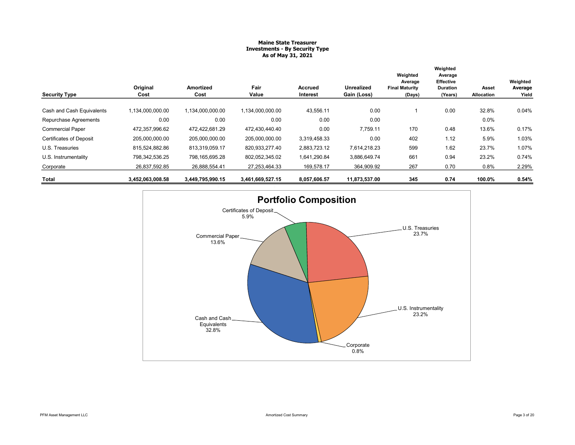#### Maine State Treasurer Investments - By Security Type As of May 31, 2021

| <b>Security Type</b>           | Original<br>Cost | <b>Amortized</b><br>Cost | Fair<br>Value    | Accrued<br>Interest | <b>Unrealized</b><br>Gain (Loss) | Weighted<br>Average<br><b>Final Maturity</b><br>(Days) | Weighted<br>Average<br>Effective<br><b>Duration</b><br>(Years) | Asset<br>Allocation | Weighted<br>Average<br>Yield |
|--------------------------------|------------------|--------------------------|------------------|---------------------|----------------------------------|--------------------------------------------------------|----------------------------------------------------------------|---------------------|------------------------------|
| Cash and Cash Equivalents      | 1,134,000,000.00 | 1,134,000,000.00         | 1.134.000.000.00 | 43,556.11           | 0.00                             |                                                        | 0.00                                                           | 32.8%               | 0.04%                        |
| Repurchase Agreements          | 0.00             | 0.00                     | 0.00             | 0.00                | 0.00                             |                                                        |                                                                | $0.0\%$             |                              |
| <b>Commercial Paper</b>        | 472,357,996.62   | 472.422.681.29           | 472,430,440.40   | 0.00                | 7,759.11                         | 170                                                    | 0.48                                                           | 13.6%               | 0.17%                        |
| <b>Certificates of Deposit</b> | 205,000,000.00   | 205,000,000.00           | 205,000,000.00   | 3,319,458.33        | 0.00                             | 402                                                    | 1.12                                                           | 5.9%                | 1.03%                        |
| U.S. Treasuries                | 815,524,882.86   | 813,319,059.17           | 820,933,277.40   | 2,883,723.12        | 7,614,218.23                     | 599                                                    | 1.62                                                           | 23.7%               | 1.07%                        |
| U.S. Instrumentality           | 798,342,536.25   | 798,165,695.28           | 802,052,345.02   | 1,641,290.84        | 3,886,649.74                     | 661                                                    | 0.94                                                           | 23.2%               | 0.74%                        |
| Corporate                      | 26,837,592.85    | 26,888,554.41            | 27, 253, 464. 33 | 169,578.17          | 364,909.92                       | 267                                                    | 0.70                                                           | 0.8%                | 2.29%                        |
| Total                          | 3,452,063,008.58 | 3,449,795,990.15         | 3,461,669,527.15 | 8,057,606.57        | 11,873,537.00                    | 345                                                    | 0.74                                                           | 100.0%              | 0.54%                        |

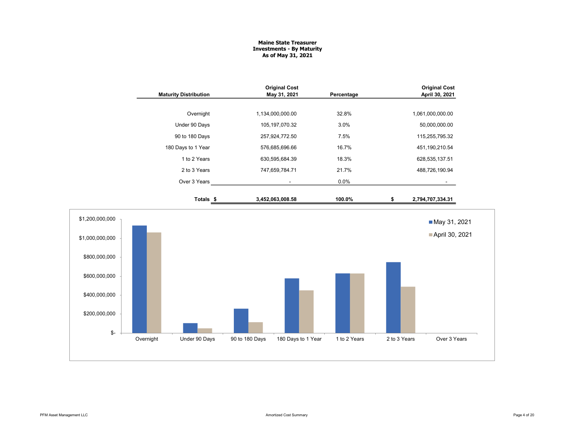#### Maine State Treasurer Investments - By Maturity As of May 31, 2021

| 32.8%<br>Overnight<br>1,134,000,000.00<br>1,061,000,000.00<br>Under 90 Days<br>105, 197, 070.32<br>3.0%<br>50,000,000.00<br>90 to 180 Days<br>7.5%<br>257,924,772.50<br>115,255,795.32<br>180 Days to 1 Year<br>576,685,696.66<br>16.7%<br>451,190,210.54<br>1 to 2 Years<br>630,595,684.39<br>18.3%<br>628,535,137.51<br>2 to 3 Years<br>747,659,784.71<br>21.7%<br>488,726,190.94<br>0.0%<br>Over 3 Years<br>$\sim$<br>$\sim$<br>3,452,063,008.58<br>100.0%<br>2,794,707,334.31<br>Totals \$<br>\$<br>\$1,200,000,000<br>May 31, 2021<br>April 30, 2021<br>\$1,000,000,000<br>\$800,000,000<br>\$600,000,000<br>\$400,000,000<br>\$200,000,000<br>\$-<br>Under 90 Days<br>90 to 180 Days<br>Over 3 Years<br>Overnight<br>180 Days to 1 Year<br>1 to 2 Years<br>2 to 3 Years | <b>Maturity Distribution</b> | <b>Original Cost</b><br>May 31, 2021 | Percentage | <b>Original Cost</b><br>April 30, 2021 |
|-------------------------------------------------------------------------------------------------------------------------------------------------------------------------------------------------------------------------------------------------------------------------------------------------------------------------------------------------------------------------------------------------------------------------------------------------------------------------------------------------------------------------------------------------------------------------------------------------------------------------------------------------------------------------------------------------------------------------------------------------------------------------------|------------------------------|--------------------------------------|------------|----------------------------------------|
|                                                                                                                                                                                                                                                                                                                                                                                                                                                                                                                                                                                                                                                                                                                                                                               |                              |                                      |            |                                        |
|                                                                                                                                                                                                                                                                                                                                                                                                                                                                                                                                                                                                                                                                                                                                                                               |                              |                                      |            |                                        |
|                                                                                                                                                                                                                                                                                                                                                                                                                                                                                                                                                                                                                                                                                                                                                                               |                              |                                      |            |                                        |
|                                                                                                                                                                                                                                                                                                                                                                                                                                                                                                                                                                                                                                                                                                                                                                               |                              |                                      |            |                                        |
|                                                                                                                                                                                                                                                                                                                                                                                                                                                                                                                                                                                                                                                                                                                                                                               |                              |                                      |            |                                        |
|                                                                                                                                                                                                                                                                                                                                                                                                                                                                                                                                                                                                                                                                                                                                                                               |                              |                                      |            |                                        |
|                                                                                                                                                                                                                                                                                                                                                                                                                                                                                                                                                                                                                                                                                                                                                                               |                              |                                      |            |                                        |
|                                                                                                                                                                                                                                                                                                                                                                                                                                                                                                                                                                                                                                                                                                                                                                               |                              |                                      |            |                                        |
|                                                                                                                                                                                                                                                                                                                                                                                                                                                                                                                                                                                                                                                                                                                                                                               |                              |                                      |            |                                        |
|                                                                                                                                                                                                                                                                                                                                                                                                                                                                                                                                                                                                                                                                                                                                                                               |                              |                                      |            |                                        |
|                                                                                                                                                                                                                                                                                                                                                                                                                                                                                                                                                                                                                                                                                                                                                                               |                              |                                      |            |                                        |
|                                                                                                                                                                                                                                                                                                                                                                                                                                                                                                                                                                                                                                                                                                                                                                               |                              |                                      |            |                                        |
|                                                                                                                                                                                                                                                                                                                                                                                                                                                                                                                                                                                                                                                                                                                                                                               |                              |                                      |            |                                        |
|                                                                                                                                                                                                                                                                                                                                                                                                                                                                                                                                                                                                                                                                                                                                                                               |                              |                                      |            |                                        |
|                                                                                                                                                                                                                                                                                                                                                                                                                                                                                                                                                                                                                                                                                                                                                                               |                              |                                      |            |                                        |
|                                                                                                                                                                                                                                                                                                                                                                                                                                                                                                                                                                                                                                                                                                                                                                               |                              |                                      |            |                                        |
|                                                                                                                                                                                                                                                                                                                                                                                                                                                                                                                                                                                                                                                                                                                                                                               |                              |                                      |            |                                        |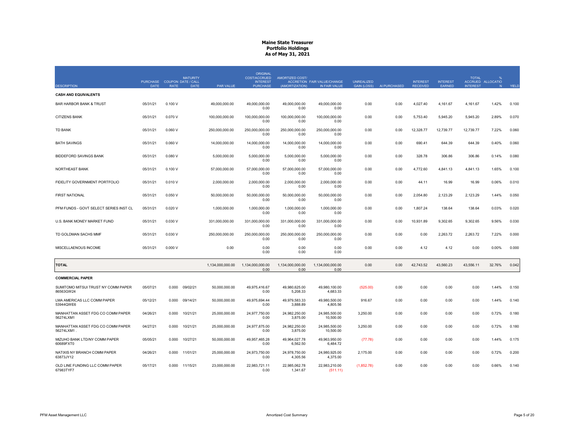|                                                  |                                            |             | <b>MATURITY</b> |                  | <b>ORIGINAL</b><br><b>COST/ACCRUED</b> | <b>AMORTIZED COST/</b>    |                                                     |                                         |              |                                    |                           | <b>TOTAL</b>    |                        |       |
|--------------------------------------------------|--------------------------------------------|-------------|-----------------|------------------|----------------------------------------|---------------------------|-----------------------------------------------------|-----------------------------------------|--------------|------------------------------------|---------------------------|-----------------|------------------------|-------|
| <b>DESCRIPTION</b>                               | PURCHASE COUPON DATE / CALL<br><b>DATE</b> | <b>RATE</b> | <b>DATE</b>     | PAR VALUE        | <b>INTEREST</b><br><b>PURCHASE</b>     | (AMORTIZATION)            | <b>ACCRETION FAIR VALUE/CHANGE</b><br>IN FAIR VALUE | <b>UNREALIZED</b><br><b>GAIN (LOSS)</b> | AI PURCHASED | <b>INTEREST</b><br><b>RECEIVED</b> | <b>INTEREST</b><br>EARNED | <b>INTEREST</b> | ACCRUED ALLOCATIO<br>N | YIELD |
| <b>CASH AND EQUIVALENTS</b>                      |                                            |             |                 |                  |                                        |                           |                                                     |                                         |              |                                    |                           |                 |                        |       |
| <b>BAR HARBOR BANK &amp; TRUST</b>               | 05/31/21                                   | 0.100V      |                 | 49,000,000.00    | 49.000.000.00<br>0.00                  | 49,000,000.00<br>0.00     | 49.000.000.00<br>0.00                               | 0.00                                    | 0.00         | 4,027.40                           | 4,161.67                  | 4,161.67        | 1.42%                  | 0.100 |
| <b>CITIZENS BANK</b>                             | 05/31/21                                   | 0.070 V     |                 | 100,000,000.00   | 100,000,000.00<br>0.00                 | 100,000,000.00<br>0.00    | 100,000,000.00<br>0.00                              | 0.00                                    | 0.00         | 5,753.40                           | 5,945.20                  | 5,945.20        | 2.89%                  | 0.070 |
| <b>TD BANK</b>                                   | 05/31/21                                   | 0.060V      |                 | 250,000,000.00   | 250,000,000.00<br>0.00                 | 250,000,000.00<br>0.00    | 250,000,000.00<br>0.00                              | 0.00                                    | 0.00         | 12,328.77                          | 12,739.77                 | 12,739.77       | 7.22%                  | 0.060 |
| <b>BATH SAVINGS</b>                              | 05/31/21                                   | 0.060V      |                 | 14.000.000.00    | 14.000.000.00<br>0.00                  | 14.000.000.00<br>0.00     | 14.000.000.00<br>0.00                               | 0.00                                    | 0.00         | 690.41                             | 644.39                    | 644.39          | 0.40%                  | 0.060 |
| <b>BIDDEFORD SAVINGS BANK</b>                    | 05/31/21                                   | 0.080V      |                 | 5,000,000.00     | 5,000,000.00<br>0.00                   | 5,000,000.00<br>0.00      | 5,000,000.00<br>0.00                                | 0.00                                    | 0.00         | 328.78                             | 306.86                    | 306.86          | 0.14%                  | 0.080 |
| NORTHEAST BANK                                   | 05/31/21                                   | 0.100V      |                 | 57,000,000.00    | 57,000,000.00<br>0.00                  | 57,000,000.00<br>0.00     | 57,000,000.00<br>0.00                               | 0.00                                    | 0.00         | 4,772.60                           | 4,841.13                  | 4,841.13        | 1.65%                  | 0.100 |
| FIDELITY GOVERNMENT PORTFOLIO                    | 05/31/21                                   | 0.010V      |                 | 2,000,000.00     | 2.000.000.00<br>0.00                   | 2.000.000.00<br>0.00      | 2.000.000.00<br>0.00                                | 0.00                                    | 0.00         | 44.11                              | 16.99                     | 16.99           | 0.06%                  | 0.010 |
| <b>FIRST NATIONAL</b>                            | 05/31/21                                   | 0.050V      |                 | 50.000.000.00    | 50,000,000.00<br>0.00                  | 50.000.000.00<br>0.00     | 50.000.000.00<br>0.00                               | 0.00                                    | 0.00         | 2,054.80                           | 2.123.29                  | 2,123.29        | 1.44%                  | 0.050 |
| PFM FUNDS - GOVT SELECT SERIES INST CL           | 05/31/21                                   | 0.020V      |                 | 1,000,000.00     | 1,000,000.00<br>0.00                   | 1,000,000.00<br>0.00      | 1,000,000.00<br>0.00                                | 0.00                                    | 0.00         | 1,807.24                           | 138.64                    | 138.64          | 0.03%                  | 0.020 |
| U.S. BANK MONEY MARKET FUND                      | 05/31/21                                   | 0.030 V     |                 | 331,000,000.00   | 331,000,000.00<br>0.00                 | 331,000,000.00<br>0.00    | 331,000,000.00<br>0.00                              | 0.00                                    | 0.00         | 10,931.89                          | 9,302.65                  | 9,302.65        | 9.56%                  | 0.030 |
| TD GOLDMAN SACHS MMF                             | 05/31/21                                   | 0.030 V     |                 | 250.000.000.00   | 250.000.000.00<br>0.00                 | 250.000.000.00<br>0.00    | 250,000,000.00<br>0.00                              | 0.00                                    | 0.00         | 0.00                               | 2,263.72                  | 2.263.72        | 7.22%                  | 0.000 |
| MISCELLAENOUS INCOME                             | 05/31/21                                   | 0.000V      |                 | 0.00             | 0.00<br>0.00                           | 0.00<br>0.00              | 0.00<br>0.00                                        | 0.00                                    | 0.00         | 4.12                               | 4.12                      | 0.00            | 0.00%                  | 0.000 |
| <b>TOTAL</b>                                     |                                            |             |                 | 1.134.000.000.00 | 1.134.000.000.00<br>0.00               | 1.134.000.000.00<br>0.00  | 1.134.000.000.00<br>0.00                            | 0.00                                    | 0.00         | 42.743.52                          | 43.560.23                 | 43.556.11       | 32.76%                 | 0.042 |
| <b>COMMERCIAL PAPER</b>                          |                                            |             |                 |                  |                                        |                           |                                                     |                                         |              |                                    |                           |                 |                        |       |
| SUMITOMO MITSUI TRUST NY COMM PAPER<br>86563GW24 | 05/07/21                                   | 0.000       | 09/02/21        | 50,000,000.00    | 49,975,416.67<br>0.00                  | 49,980,625.00<br>5,208.33 | 49,980,100.00<br>4,683.33                           | (525.00)                                | 0.00         | 0.00                               | 0.00                      | 0.00            | 1.44%                  | 0.150 |
| LMA AMERICAS LLC COMM PAPER<br>53944QWE6         | 05/12/21                                   | 0.000       | 09/14/21        | 50,000,000.00    | 49,975,694.44<br>0.00                  | 49,979,583.33<br>3,888.89 | 49,980,500.00<br>4,805.56                           | 916.67                                  | 0.00         | 0.00                               | 0.00                      | 0.00            | 1.44%                  | 0.140 |
| MANHATTAN ASSET FDG CO COMM PAPER<br>56274LXM1   | 04/26/21                                   | 0.000       | 10/21/21        | 25.000.000.00    | 24.977.750.00<br>0.00                  | 24.982.250.00<br>3,875.00 | 24.985.500.00<br>10,500.00                          | 3.250.00                                | 0.00         | 0.00                               | 0.00                      | 0.00            | 0.72%                  | 0.180 |
| MANHATTAN ASSET FDG CO COMM PAPER<br>56274LXM1.  | 04/27/21                                   | 0.000       | 10/21/21        | 25,000,000.00    | 24,977,875.00<br>0.00                  | 24,982,250.00<br>3,875.00 | 24,985,500.00<br>10,500.00                          | 3,250.00                                | 0.00         | 0.00                               | 0.00                      | 0.00            | 0.72%                  | 0.180 |
| MIZUHO BANK LTD/NY COMM PAPER<br>60689FXT0       | 05/05/21                                   | 0.000       | 10/27/21        | 50,000,000.00    | 49,957,465.28<br>0.00                  | 49,964,027.78<br>6,562.50 | 49,963,950.00<br>6,484.72                           | (77.78)                                 | 0.00         | 0.00                               | 0.00                      | 0.00            | 1.44%                  | 0.175 |
| NATIXIS NY BRANCH COMM PAPER<br>63873JY12        | 04/26/21                                   | 0.000       | 11/01/21        | 25,000,000.00    | 24,973,750.00<br>0.00                  | 24,978,750.00<br>4,305.56 | 24,980,925.00<br>4,375.00                           | 2,175.00                                | 0.00         | 0.00                               | 0.00                      | 0.00            | 0.72%                  | 0.200 |
| OLD LINE FUNDING LLC COMM PAPER<br>67983TYF7     | 05/17/21                                   | 0.000       | 11/15/21        | 23,000,000.00    | 22,983,721.11<br>0.00                  | 22.985.062.78<br>1,341.67 | 22,983,210.00<br>(511.11)                           | (1,852.78)                              | 0.00         | 0.00                               | 0.00                      | 0.00            | 0.66%                  | 0.140 |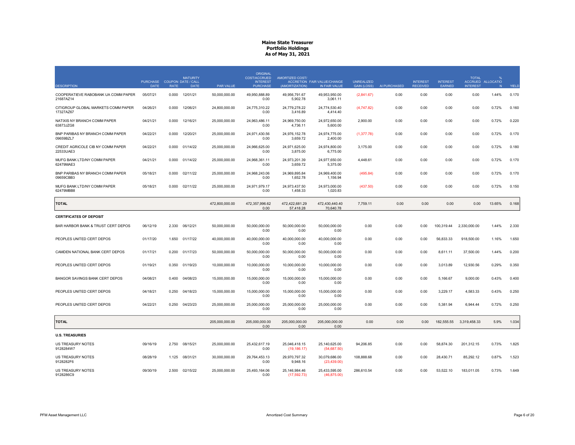|                                                  |                                            |             | <b>MATURITY</b> |                | <b>ORIGINAL</b><br><b>COST/ACCRUED</b> | <b>AMORTIZED COST/</b>        |                                                     |                                         |              |                                    |                                  | <b>TOTAL</b>                      |                       |       |
|--------------------------------------------------|--------------------------------------------|-------------|-----------------|----------------|----------------------------------------|-------------------------------|-----------------------------------------------------|-----------------------------------------|--------------|------------------------------------|----------------------------------|-----------------------------------|-----------------------|-------|
| <b>DESCRIPTION</b>                               | PURCHASE COUPON DATE / CALL<br><b>DATE</b> | <b>RATE</b> | <b>DATE</b>     | PAR VALUE      | <b>INTEREST</b><br><b>PURCHASE</b>     | (AMORTIZATION)                | <b>ACCRETION FAIR VALUE/CHANGE</b><br>IN FAIR VALUE | <b>UNREALIZED</b><br><b>GAIN (LOSS)</b> | AI PURCHASED | <b>INTEREST</b><br><b>RECEIVED</b> | <b>INTEREST</b><br><b>EARNED</b> | <b>ACCRUED</b><br><b>INTEREST</b> | <b>ALLOCATIO</b><br>N | YIELD |
| COOPERATIEVE RABOBANK UA COMM PAPER<br>21687AZ14 | 05/07/21                                   | 0.000       | 12/01/21        | 50,000,000.00  | 49,950,888.89<br>0.00                  | 49,956,791.67<br>5,902.78     | 49,953,950.00<br>3,061.11                           | (2,841.67)                              | 0.00         | 0.00                               | 0.00                             | 0.00                              | 1.44%                 | 0.170 |
| CITIGROUP GLOBAL MARKETS COMM PAPER<br>17327AZ67 | 04/26/21                                   | 0.000       | 12/06/21        | 24,800,000.00  | 24,775,310.22<br>0.00                  | 24,779,278.22<br>3,416.89     | 24,774,530.40<br>4,414.40                           | (4,747.82)                              | 0.00         | 0.00                               | 0.00                             | 0.00                              | 0.72%                 | 0.160 |
| NATIXIS NY BRANCH COMM PAPER<br>63873JZG8        | 04/21/21                                   | 0.000       | 12/16/21        | 25,000,000.00  | 24,963,486.11<br>0.00                  | 24,969,750.00<br>4,736.11     | 24,972,650.00<br>5,600.00                           | 2,900.00                                | 0.00         | 0.00                               | 0.00                             | 0.00                              | 0.72%                 | 0.220 |
| BNP PARIBAS NY BRANCH COMM PAPER<br>09659BZL7    | 04/22/21                                   | 0.000       | 12/20/21        | 25,000,000.00  | 24,971,430.56<br>0.00                  | 24,976,152.78<br>3,659.72     | 24,974,775.00<br>2,400.00                           | (1,377.78)                              | 0.00         | 0.00                               | 0.00                             | 0.00                              | 0.72%                 | 0.170 |
| CREDIT AGRICOLE CIB NY COMM PAPER<br>22533UAE3   | 04/22/21                                   |             | 0.000 01/14/22  | 25,000,000.00  | 24,966,625.00<br>0.00                  | 24,971,625.00<br>3,875.00     | 24,974,800.00<br>6,775.00                           | 3,175.00                                | 0.00         | 0.00                               | 0.00                             | 0.00                              | 0.72%                 | 0.180 |
| MUFG BANK LTD/NY COMM PAPER<br>62479MAE3         | 04/21/21                                   | 0.000       | 01/14/22        | 25,000,000.00  | 24,968,361.11<br>0.00                  | 24,973,201.39<br>3,659.72     | 24,977,650.00<br>5,375.00                           | 4,448.61                                | 0.00         | 0.00                               | 0.00                             | 0.00                              | 0.72%                 | 0.170 |
| BNP PARIBAS NY BRANCH COMM PAPER<br>09659CBB3    | 05/18/21                                   | 0.000       | 02/11/22        | 25,000,000.00  | 24,968,243.06<br>0.00                  | 24,969,895.84<br>1,652.78     | 24,969,400.00<br>1,156.94                           | (495.84)                                | 0.00         | 0.00                               | 0.00                             | 0.00                              | 0.72%                 | 0.170 |
| MUFG BANK LTD/NY COMM PAPER<br>62479MBB8         | 05/18/21                                   | 0.000       | 02/11/22        | 25,000,000.00  | 24.971.979.17<br>0.00                  | 24.973.437.50<br>1,458.33     | 24.973.000.00<br>1,020.83                           | (437.50)                                | 0.00         | 0.00                               | 0.00                             | 0.00                              | 0.72%                 | 0.150 |
| <b>TOTAL</b>                                     |                                            |             |                 | 472,800,000.00 | 472,357,996.62<br>0.00                 | 472,422,681.29<br>57,418.28   | 472,430,440.40<br>70,640.78                         | 7,759.11                                | 0.00         | 0.00                               | 0.00                             | 0.00                              | 13.65%                | 0.168 |
| <b>CERTIFICATES OF DEPOSIT</b>                   |                                            |             |                 |                |                                        |                               |                                                     |                                         |              |                                    |                                  |                                   |                       |       |
| BAR HARBOR BANK & TRUST CERT DEPOS               | 06/12/19                                   | 2.330       | 06/12/21        | 50,000,000.00  | 50,000,000.00<br>0.00                  | 50,000,000.00<br>0.00         | 50,000,000.00<br>0.00                               | 0.00                                    | 0.00         | 0.00                               | 100,319.44                       | 2,330,000.00                      | 1.44%                 | 2.330 |
| PEOPLES UNITED CERT DEPOS                        | 01/17/20                                   | 1.650       | 01/17/22        | 40,000,000.00  | 40,000,000.00<br>0.00                  | 40,000,000.00<br>0.00         | 40,000,000.00<br>0.00                               | 0.00                                    | 0.00         | 0.00                               | 56,833.33                        | 918,500.00                        | 1.16%                 | 1.650 |
| CAMDEN NATIONAL BANK CERT DEPOS                  | 01/17/21                                   | 0.200       | 01/17/23        | 50,000,000.00  | 50,000,000.00<br>0.00                  | 50,000,000.00<br>0.00         | 50,000,000.00<br>0.00                               | 0.00                                    | 0.00         | 0.00                               | 8,611.11                         | 37,500.00                         | 1.44%                 | 0.200 |
| PEOPLES UNITED CERT DEPOS                        | 01/19/21                                   | 0.350       | 01/19/23        | 10,000,000.00  | 10,000,000.00<br>0.00                  | 10,000,000.00<br>0.00         | 10,000,000.00<br>0.00                               | 0.00                                    | 0.00         | 0.00                               | 3,013.89                         | 12,930.56                         | 0.29%                 | 0.350 |
| BANGOR SAVINGS BANK CERT DEPOS                   | 04/08/21                                   | 0.400       | 04/08/23        | 15,000,000.00  | 15.000.000.00<br>0.00                  | 15.000.000.00<br>0.00         | 15.000.000.00<br>0.00                               | 0.00                                    | 0.00         | 0.00                               | 5.166.67                         | 9.000.00                          | 0.43%                 | 0.400 |
| PEOPLES UNITED CERT DEPOS                        | 04/18/21                                   | 0.250       | 04/18/23        | 15,000,000.00  | 15,000,000.00<br>0.00                  | 15,000,000.00<br>0.00         | 15,000,000.00<br>0.00                               | 0.00                                    | 0.00         | 0.00                               | 3,229.17                         | 4,583.33                          | 0.43%                 | 0.250 |
| PEOPLES UNITED CERT DEPOS                        | 04/22/21                                   | 0.250       | 04/23/23        | 25,000,000.00  | 25,000,000.00<br>0.00                  | 25,000,000.00<br>0.00         | 25,000,000.00<br>0.00                               | 0.00                                    | 0.00         | 0.00                               | 5,381.94                         | 6.944.44                          | 0.72%                 | 0.250 |
| <b>TOTAL</b>                                     |                                            |             |                 | 205,000,000.00 | 205,000,000.00<br>0.00                 | 205,000,000.00<br>0.00        | 205,000,000.00<br>0.00                              | 0.00                                    | 0.00         | 0.00                               | 182,555.55                       | 3,319,458.33                      | 5.9%                  | 1.034 |
| <b>U.S. TREASURIES</b>                           |                                            |             |                 |                |                                        |                               |                                                     |                                         |              |                                    |                                  |                                   |                       |       |
| US TREASURY NOTES<br>9128284W7                   | 09/16/19                                   | 2.750       | 08/15/21        | 25,000,000.00  | 25,432,617.19<br>0.00                  | 25,046,418.15<br>(19, 186.17) | 25,140,625.00<br>(54,687.50)                        | 94,206.85                               | 0.00         | 0.00                               | 58,874.30                        | 201,312.15                        | 0.73%                 | 1.825 |
| US TREASURY NOTES<br>9128282F6                   | 08/28/19                                   | 1.125       | 08/31/21        | 30,000,000.00  | 29.764.453.13<br>0.00                  | 29.970.797.32<br>9,948.16     | 30,079,686.00<br>(23, 439.00)                       | 108,888.68                              | 0.00         | 0.00                               | 28,430.71                        | 85,292.12                         | 0.87%                 | 1.523 |
| US TREASURY NOTES<br>9128286C9                   | 09/30/19                                   | 2.500       | 02/15/22        | 25,000,000.00  | 25,493,164.06<br>0.00                  | 25.146.984.46<br>(17, 592.73) | 25.433.595.00<br>(46, 875.00)                       | 286,610.54                              | 0.00         | 0.00                               | 53,522.10                        | 183,011.05                        | 0.73%                 | 1.649 |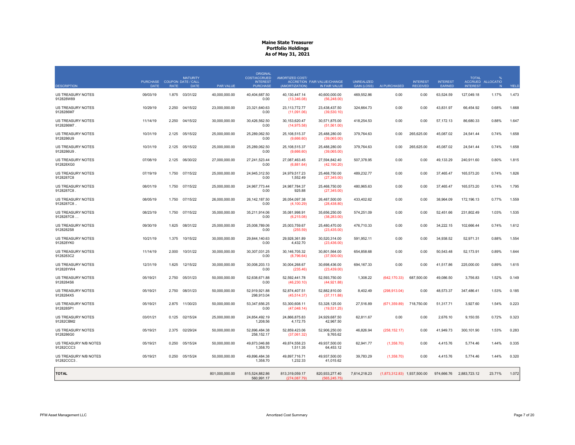| <b>DESCRIPTION</b>                    | PURCHASE COUPON DATE / CALL<br><b>DATE</b> | <b>RATE</b> | <b>MATURITY</b><br><b>DATE</b> | PAR VALUE      | <b>ORIGINAL</b><br><b>COST/ACCRUED</b><br><b>INTEREST</b><br><b>PURCHASE</b> | <b>AMORTIZED COST/</b><br>(AMORTIZATION) | <b>ACCRETION FAIR VALUE/CHANGE</b><br>IN FAIR VALUE | <b>UNREALIZED</b><br><b>GAIN (LOSS)</b> | AI PURCHASED                    | <b>INTEREST</b><br><b>RECEIVED</b> | <b>INTEREST</b><br>EARNED | <b>TOTAL</b><br><b>INTEREST</b> | ACCRUED ALLOCATIO<br>N | YIELD |
|---------------------------------------|--------------------------------------------|-------------|--------------------------------|----------------|------------------------------------------------------------------------------|------------------------------------------|-----------------------------------------------------|-----------------------------------------|---------------------------------|------------------------------------|---------------------------|---------------------------------|------------------------|-------|
| US TREASURY NOTES<br>912828W89        | 09/03/19                                   | 1.875       | 03/31/22                       | 40,000,000.00  | 40,404,687.50<br>0.00                                                        | 40,130,447.14<br>(13,346.08)             | 40,600,000.00<br>(56, 248.00)                       | 469,552.86                              | 0.00                            | 0.00                               | 63,524.59                 | 127,049.18                      | 1.17%                  | 1.473 |
| US TREASURY NOTES<br>9128286M7        | 10/29/19                                   | 2.250       | 04/15/22                       | 23,000,000.00  | 23,321,640.63<br>0.00                                                        | 23,113,772.77<br>(11,091.06)             | 23,438,437.50<br>(39,530.10)                        | 324,664.73                              | 0.00                            | 0.00                               | 43,831.97                 | 66,454.92                       | 0.68%                  | 1.668 |
| <b>US TREASURY NOTES</b><br>9128286M7 | 11/14/19                                   | 2.250       | 04/15/22                       | 30.000.000.00  | 30.426.562.50<br>0.00                                                        | 30.153.620.47<br>(14, 975.58)            | 30.571.875.00<br>(51, 561.00)                       | 418.254.53                              | 0.00                            | 0.00                               | 57,172.13                 | 86.680.33                       | 0.88%                  | 1.647 |
| US TREASURY NOTES<br>9128286U9        | 10/31/19                                   | 2.125       | 05/15/22                       | 25,000,000.00  | 25.289.062.50<br>0.00                                                        | 25, 108, 515.37<br>(9,666.60)            | 25,488,280.00<br>(39,065.00)                        | 379,764.63                              | 0.00                            | 265,625.00                         | 45,087.02                 | 24,541.44                       | 0.74%                  | 1.658 |
| US TREASURY NOTES<br>9128286U9        | 10/31/19                                   | 2.125       | 05/15/22                       | 25,000,000.00  | 25,289,062.50<br>0.00                                                        | 25,108,515.37<br>(9.666.60)              | 25,488,280.00<br>(39.065.00)                        | 379,764.63                              | 0.00                            | 265,625.00                         | 45,087.02                 | 24,541.44                       | 0.74%                  | 1.658 |
| US TREASURY NOTES<br>912828XG0        | 07/08/19                                   | 2.125       | 06/30/22                       | 27,000,000.00  | 27.241.523.44<br>0.00                                                        | 27,087,463.45<br>(6,881.64)              | 27,594,842.40<br>(42, 190.20)                       | 507,378.95                              | 0.00                            | 0.00                               | 49,133.29                 | 240,911.60                      | 0.80%                  | 1.815 |
| US TREASURY NOTES<br>9128287C8        | 07/19/19                                   | 1.750       | 07/15/22                       | 25,000,000.00  | 24,945,312.50<br>0.00                                                        | 24,979,517.23<br>1,552.49                | 25,468,750.00<br>(27, 345.00)                       | 489,232.77                              | 0.00                            | 0.00                               | 37,465.47                 | 165,573.20                      | 0.74%                  | 1.826 |
| US TREASURY NOTES<br>9128287C8        | 08/01/19                                   | 1.750       | 07/15/22                       | 25,000,000.00  | 24,967,773.44<br>0.00                                                        | 24.987.784.37<br>925.88                  | 25,468,750.00<br>(27, 345.00)                       | 480,965.63                              | 0.00                            | 0.00                               | 37,465.47                 | 165,573.20                      | 0.74%                  | 1.795 |
| US TREASURY NOTES<br>9128287C8.       | 08/05/19                                   | 1.750       | 07/15/22                       | 26,000,000.00  | 26, 142, 187.50<br>0.00                                                      | 26,054,097.38<br>(4, 100.29)             | 26,487,500.00<br>(28, 438.80)                       | 433,402.62                              | 0.00                            | 0.00                               | 38,964.09                 | 172,196.13                      | 0.77%                  | 1.559 |
| <b>US TREASURY NOTES</b><br>9128287C8 | 08/23/19                                   | 1.750       | 07/15/22                       | 35.000.000.00  | 35.211.914.06<br>0.00                                                        | 35.081.998.91<br>(6,215.08)              | 35.656.250.00<br>(38, 283.00)                       | 574.251.09                              | 0.00                            | 0.00                               | 52.451.66                 | 231.802.49                      | 1.03%                  | 1.535 |
| US TREASURY NOTES<br>9128282S8        | 09/30/19                                   | 1.625       | 08/31/22                       | 25,000,000.00  | 25,008,789.06<br>0.00                                                        | 25,003,759.67<br>(255.59)                | 25,480,470.00<br>(23, 435.00)                       | 476,710.33                              | 0.00                            | 0.00                               | 34,222.15                 | 102,666.44                      | 0.74%                  | 1.612 |
| US TREASURY NOTES<br>912828YK0        | 10/21/19                                   | 1.375       | 10/15/22                       | 30,000,000.00  | 29,844,140.63<br>0.00                                                        | 29,928,361.89<br>4.432.70                | 30,520,314.00<br>(23.436.00)                        | 591,952.11                              | 0.00                            | 0.00                               | 34,938.52                 | 52,971.31                       | 0.88%                  | 1.554 |
| US TREASURY NOTES<br>9128283C2        | 11/14/19                                   | 2.000       | 10/31/22                       | 30,000,000.00  | 30,307,031.25<br>0.00                                                        | 30,146,705.32<br>(8,796.64)              | 30,801,564.00<br>(37,500.00)                        | 654,858.68                              | 0.00                            | 0.00                               | 50,543.48                 | 52,173.91                       | 0.89%                  | 1.644 |
| US TREASURY NOTES<br>912828YW4        | 12/31/19                                   | 1.625       | 12/15/22                       | 30,000,000.00  | 30.008.203.13<br>0.00                                                        | 30,004,268.67<br>(235.46)                | 30,698,436.00<br>(23, 439.00)                       | 694, 167.33                             | 0.00                            | 0.00                               | 41.517.86                 | 225,000.00                      | 0.89%                  | 1.615 |
| <b>US TREASURY NOTES</b><br>9128284S6 | 05/19/21                                   | 2.750       | 05/31/23                       | 50,000,000.00  | 52.638.671.88<br>0.00                                                        | 52.592.441.78<br>(46, 230.10)            | 52.593.750.00<br>(44, 921.88)                       | 1,308.22                                | (642, 170.33)                   | 687.500.00                         | 49,086.50                 | 3,756.83                        | 1.52%                  | 0.149 |
| US TREASURY NOTES<br>9128284X5        | 05/19/21                                   | 2.750       | 08/31/23                       | 50,000,000.00  | 52,919,921.88<br>298,913.04                                                  | 52,874,407.51<br>(45, 514.37)            | 52,882,810.00<br>(37, 111.88)                       | 8,402.49                                | (298, 913.04)                   | 0.00                               | 48,573.37                 | 347,486.41                      | 1.53%                  | 0.185 |
| <b>US TREASURY NOTES</b><br>9128285P1 | 05/19/21                                   | 2.875       | 11/30/23                       | 50.000.000.00  | 53.347.656.25<br>0.00                                                        | 53.300.608.11<br>(47,048.14)             | 53.328.125.00<br>(19,531.25)                        | 27.516.89                               | (671.359.89)                    | 718.750.00                         | 51.317.71                 | 3.927.60                        | 1.54%                  | 0.223 |
| US TREASURY NOTES<br>91282CBM2        | 03/01/21                                   | 0.125       | 02/15/24                       | 25,000,000.00  | 24,854,492.19<br>1,208.56                                                    | 24,866,875.83<br>4,172.75                | 24,929,687.50<br>42,967.50                          | 62,811.67                               | 0.00                            | 0.00                               | 2,676.10                  | 9,150.55                        | 0.72%                  | 0.323 |
| US TREASURY NOTES<br>9128286G0        | 05/19/21                                   | 2.375       | 02/29/24                       | 50,000,000.00  | 52,896,484.38<br>258.152.17                                                  | 52,859,423.06<br>(37.061.32)             | 52,906,250.00<br>9.765.62                           | 46,826.94                               | (258, 152.17)                   | 0.00                               | 41,949.73                 | 300,101.90                      | 1.53%                  | 0.283 |
| US TREASURY N/B NOTES<br>91282CCC3    | 05/19/21                                   | 0.250       | 05/15/24                       | 50.000.000.00  | 49,873,046.88<br>1,358.70                                                    | 49,874,558.23<br>1,511.35                | 49,937,500.00<br>64,453.12                          | 62,941.77                               | (1,358.70)                      | 0.00                               | 4,415.76                  | 5,774.46                        | 1.44%                  | 0.335 |
| US TREASURY N/B NOTES<br>91282CCC3    | 05/19/21                                   | 0.250       | 05/15/24                       | 50,000,000.00  | 49,896,484.38<br>1,358.70                                                    | 49,897,716.71<br>1,232.33                | 49,937,500.00<br>41,015.62                          | 39,783.29                               | (1,358.70)                      | 0.00                               | 4,415.76                  | 5,774.46                        | 1.44%                  | 0.320 |
| <b>TOTAL</b>                          |                                            |             |                                | 801.000.000.00 | 815.524.882.86<br>560,991.17                                                 | 813.319.059.17<br>(274,087.79)           | 820.933.277.40<br>(565, 245.75)                     | 7.614.218.23                            | $(1,873,312.83)$ $1,937,500.00$ |                                    | 974.666.76                | 2.883.723.12                    | 23.71%                 | 1.072 |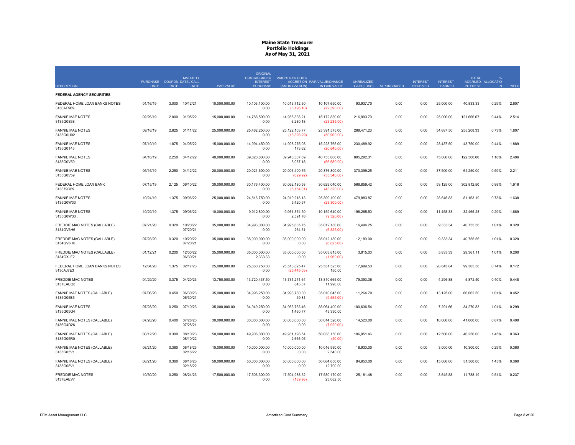| <b>DESCRIPTION</b>                         | PURCHASE COUPON DATE / CALL<br><b>DATE</b> | <b>RATE</b> | <b>MATURITY</b><br><b>DATE</b> | PAR VALUE     | ORIGINAL<br>COST/ACCRUED<br><b>INTEREST</b><br><b>PURCHASE</b> | AMORTIZED COST/<br>(AMORTIZATION) | <b>ACCRETION FAIR VALUE/CHANGE</b><br>IN FAIR VALUE | <b>UNREALIZED</b><br><b>GAIN (LOSS)</b> | AI PURCHASED | <b>INTEREST</b><br><b>RECEIVED</b> | <b>INTEREST</b><br><b>EARNED</b> | <b>TOTAL</b><br><b>ACCRUED</b><br><b>INTEREST</b> | <b>ALLOCATIO</b> | <b>YIELD</b> |
|--------------------------------------------|--------------------------------------------|-------------|--------------------------------|---------------|----------------------------------------------------------------|-----------------------------------|-----------------------------------------------------|-----------------------------------------|--------------|------------------------------------|----------------------------------|---------------------------------------------------|------------------|--------------|
| FEDERAL AGENCY SECURITIES                  |                                            |             |                                |               |                                                                |                                   |                                                     |                                         |              |                                    |                                  |                                                   |                  |              |
| FEDERAL HOME LOAN BANKS NOTES<br>3130AF5B9 | 01/16/19                                   | 3.000       | 10/12/21                       | 10,000,000.00 | 10,103,100.00<br>0.00                                          | 10,013,712.30<br>(3, 196.10)      | 10,107,650.00<br>(22, 390.00)                       | 93,937.70                               | 0.00         | 0.00                               | 25,000.00                        | 40,833.33                                         | 0.29%            | 2.607        |
| <b>FANNIE MAE NOTES</b><br>3135G0S38       | 02/26/19                                   | 2.000       | 01/05/22                       | 15,000,000.00 | 14,788,500.00<br>0.00                                          | 14,955,836.21<br>6,280.18         | 15,172,830.00<br>(23, 235.00)                       | 216,993.79                              | 0.00         | 0.00                               | 25,000.00                        | 121,666.67                                        | 0.44%            | 2.514        |
| <b>FANNIE MAE NOTES</b><br>3135G0U92       | 09/16/19                                   | 2.625       | 01/11/22                       | 25.000.000.00 | 25.462.250.00<br>0.00                                          | 25.122.103.77<br>(16,898.29)      | 25.391.575.00<br>(50,900.00)                        | 269.471.23                              | 0.00         | 0.00                               | 54.687.50                        | 255.208.33                                        | 0.73%            | 1.807        |
| <b>FANNIE MAE NOTES</b><br>3135G0T45       | 07/19/19                                   | 1.875       | 04/05/22                       | 15,000,000.00 | 14.994.450.00<br>0.00                                          | 14.998.275.08<br>173.62           | 15,228,765.00<br>(20, 640.00)                       | 230,489.92                              | 0.00         | 0.00                               | 23,437.50                        | 43.750.00                                         | 0.44%            | 1.889        |
| <b>FANNIE MAE NOTES</b><br>3135G0V59       | 04/16/19                                   | 2.250       | 04/12/22                       | 40,000,000.00 | 39,820,800.00<br>0.00                                          | 39,948,307.69<br>5,087.18         | 40,753,600.00<br>(66, 680.00)                       | 805,292.31                              | 0.00         | 0.00                               | 75,000.00                        | 122,500.00                                        | 1.18%            | 2.406        |
| <b>FANNIE MAE NOTES</b><br>3135G0V59       | 05/15/19                                   | 2.250       | 04/12/22                       | 20,000,000.00 | 20,021,600.00<br>0.00                                          | 20,006,400.75<br>(629.92)         | 20,376,800.00<br>(33,340.00)                        | 370,399.25                              | 0.00         | 0.00                               | 37,500.00                        | 61,250.00                                         | 0.59%            | 2.211        |
| FEDERAL HOME LOAN BANK<br>313379Q69        | 07/15/19                                   | 2.125       | 06/10/22                       | 30,000,000.00 | 30.176.400.00<br>0.00                                          | 30,062,180.58<br>(5, 154.01)      | 30,629,040.00<br>(43,320.00)                        | 566,859.42                              | 0.00         | 0.00                               | 53,125.00                        | 302,812.50                                        | 0.88%            | 1.916        |
| <b>FANNIE MAE NOTES</b><br>3135G0W33       | 10/24/19                                   | 1.375       | 09/06/22                       | 25,000,000.00 | 24,816,750.00<br>0.00                                          | 24,919,216.13<br>5,420.57         | 25,399,100.00<br>(23,300.00)                        | 479,883.87                              | 0.00         | 0.00                               | 28,645.83                        | 81,163.19                                         | 0.73%            | 1.638        |
| <b>FANNIE MAE NOTES</b><br>3135G0W33       | 10/29/19                                   | 1.375       | 09/06/22                       | 10,000,000.00 | 9,912,800.00<br>0.00                                           | 9,961,374.50<br>2,591.76          | 10,159,640.00<br>(9,320.00)                         | 198,265.50                              | 0.00         | 0.00                               | 11,458.33                        | 32,465.28                                         | 0.29%            | 1.689        |
| FREDDIE MAC NOTES (CALLABLE)<br>3134GV6H6  | 07/21/20                                   | 0.320       | 10/20/22<br>07/20/21           | 35,000,000.00 | 34,993,000.00<br>0.00                                          | 34,995,685.75<br>264.31           | 35,012,180.00<br>(6,825.00)                         | 16,494.25                               | 0.00         | 0.00                               | 9,333.34                         | 40,755.56                                         | 1.01%            | 0.329        |
| FREDDIE MAC NOTES (CALLABLE)<br>3134GV6H6  | 07/28/20                                   | 0.320       | 10/20/22<br>07/20/21           | 35,000,000.00 | 35.000.000.00<br>0.00                                          | 35.000.000.00<br>0.00             | 35.012.180.00<br>(6,825.00)                         | 12.180.00                               | 0.00         | 0.00                               | 9,333.34                         | 40,755.56                                         | 1.01%            | 0.320        |
| FREDDIE MAC NOTES (CALLABLE)<br>3134GXJF2  | 01/12/21                                   | 0.200       | 12/30/22<br>06/30/21           | 35.000.000.00 | 35.000.000.00<br>2,333.33                                      | 35.000.000.00<br>0.00             | 35.003.815.00<br>(1,960.00)                         | 3.815.00                                | 0.00         | 0.00                               | 5.833.33                         | 29.361.11                                         | 1.01%            | 0.200        |
| FEDERAL HOME LOAN BANKS NOTES<br>3130AJ7E3 | 12/04/20                                   | 1.375       | 02/17/23                       | 25,000,000.00 | 25.660.750.00<br>0.00                                          | 25,513,825.47<br>(25, 445.03)     | 25,531,525.00<br>150.00                             | 17,699.53                               | 0.00         | 0.00                               | 28.645.84                        | 99.305.56                                         | 0.74%            | 0.172        |
| <b>FREDDIE MAC NOTES</b><br>3137EAEQ8      | 04/29/20                                   | 0.375       | 04/20/23                       | 13,750,000.00 | 13,720,437.50<br>0.00                                          | 13,731,271.64<br>843.87           | 13,810,665.00<br>11,990.00                          | 79,393.36                               | 0.00         | 0.00                               | 4,296.88                         | 5,872.40                                          | 0.40%            | 0.448        |
| FANNIE MAE NOTES (CALLABLE)<br>3135G05B5   | 07/06/20                                   | 0.450       | 06/30/23<br>06/30/21           | 35,000,000.00 | 34,998,250.00<br>0.00                                          | 34,998,780.30<br>49.81            | 35,010,045.00<br>(9,555.00)                         | 11,264.70                               | 0.00         | 0.00                               | 13,125.00                        | 66,062.50                                         | 1.01%            | 0.452        |
| <b>FANNIE MAE NOTES</b><br>3135G05G4       | 07/28/20                                   | 0.250       | 07/10/23                       | 35,000,000.00 | 34,949,250.00<br>0.00                                          | 34,963,763.46<br>1,460.77         | 35,064,400.00<br>43,330.00                          | 100,636.54                              | 0.00         | 0.00                               | 7,291.66                         | 34,270.83                                         | 1.01%            | 0.299        |
| FANNIE MAE NOTES (CALLABLE)<br>3136G4D26   | 07/28/20                                   | 0.400       | 07/28/23<br>07/28/21           | 30,000,000.00 | 30,000,000.00<br>0.00                                          | 30,000,000.00<br>0.00             | 30,014,520.00<br>(7,020.00)                         | 14,520.00                               | 0.00         | 0.00                               | 10,000.00                        | 41,000.00                                         | 0.87%            | 0.400        |
| FANNIE MAE NOTES (CALLABLE)<br>3135G05R0   | 08/12/20                                   | 0.300       | 08/10/23<br>08/10/22           | 50,000,000.00 | 49,906,000.00<br>0.00                                          | 49,931,198.54<br>2,666.06         | 50,038,150.00<br>(50.00)                            | 106,951.46                              | 0.00         | 0.00                               | 12,500.00                        | 46,250.00                                         | 1.45%            | 0.363        |
| FANNIE MAE NOTES (CALLABLE)<br>3135G05V1   | 08/21/20                                   | 0.360       | 08/18/23<br>02/18/22           | 10,000,000.00 | 10,000,000.00<br>0.00                                          | 10,000,000.00<br>0.00             | 10,016,930.00<br>2,540.00                           | 16,930.00                               | 0.00         | 0.00                               | 3,000.00                         | 10,300.00                                         | 0.29%            | 0.360        |
| FANNIE MAE NOTES (CALLABLE)<br>3135G05V1.  | 08/21/20                                   | 0.360       | 08/18/23<br>02/18/22           | 50,000,000.00 | 50.000.000.00<br>0.00                                          | 50.000.000.00<br>0.00             | 50,084,650.00<br>12,700.00                          | 84,650.00                               | 0.00         | 0.00                               | 15,000.00                        | 51,500.00                                         | 1.45%            | 0.360        |
| <b>FREDDIE MAC NOTES</b><br>3137EAEV7      | 10/30/20                                   | 0.250       | 08/24/23                       | 17,500,000.00 | 17.506.300.00<br>0.00                                          | 17.504.988.52<br>(189.98)         | 17.530.170.00<br>23,082.50                          | 25,181.48                               | 0.00         | 0.00                               | 3.645.83                         | 11.788.19                                         | 0.51%            | 0.237        |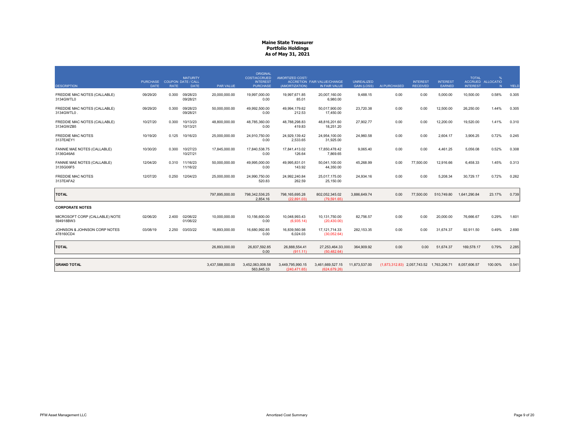|                                             |                                |             |                                                             |                  | <b>ORIGINAL</b>                                           |                                   |                                                     |                                         |              |                                          |                                  |                                 |                             |       |
|---------------------------------------------|--------------------------------|-------------|-------------------------------------------------------------|------------------|-----------------------------------------------------------|-----------------------------------|-----------------------------------------------------|-----------------------------------------|--------------|------------------------------------------|----------------------------------|---------------------------------|-----------------------------|-------|
| <b>DESCRIPTION</b>                          | <b>PURCHASE</b><br><b>DATE</b> | <b>RATE</b> | <b>MATURITY</b><br><b>COUPON DATE / CALL</b><br><b>DATE</b> | <b>PAR VALUE</b> | <b>COST/ACCRUED</b><br><b>INTEREST</b><br><b>PURCHASE</b> | AMORTIZED COST/<br>(AMORTIZATION) | <b>ACCRETION FAIR VALUE/CHANGE</b><br>IN FAIR VALUE | <b>UNREALIZED</b><br><b>GAIN (LOSS)</b> | AI PURCHASED | <b>INTEREST</b><br><b>RECEIVED</b>       | <b>INTEREST</b><br><b>EARNED</b> | <b>TOTAL</b><br><b>INTEREST</b> | %<br>ACCRUED ALLOCATIO<br>N | YIELD |
| FREDDIE MAC NOTES (CALLABLE)<br>3134GWTL0   | 09/29/20                       | 0.300       | 09/28/23<br>09/28/21                                        | 20.000.000.00    | 19.997.000.00<br>0.00                                     | 19.997.671.85<br>85.01            | 20.007.160.00<br>6,980.00                           | 9.488.15                                | 0.00         | 0.00                                     | 5.000.00                         | 10.500.00                       | 0.58%                       | 0.305 |
| FREDDIE MAC NOTES (CALLABLE)<br>3134GWTL0.  | 09/29/20                       | 0.300       | 09/28/23<br>09/28/21                                        | 50.000.000.00    | 49.992.500.00<br>0.00                                     | 49.994.179.62<br>212.53           | 50.017.900.00<br>17,450.00                          | 23.720.38                               | 0.00         | 0.00                                     | 12,500.00                        | 26.250.00                       | 1.44%                       | 0.305 |
| FREDDIE MAC NOTES (CALLABLE)<br>3134GWZB5   | 10/27/20                       | 0.300       | 10/13/23<br>10/13/21                                        | 48,800,000.00    | 48,785,360.00<br>0.00                                     | 48,788,298.83<br>419.83           | 48,816,201.60<br>18.251.20                          | 27,902.77                               | 0.00         | 0.00                                     | 12,200.00                        | 19,520.00                       | 1.41%                       | 0.310 |
| <b>FREDDIE MAC NOTES</b><br>3137EAEY1       | 10/19/20                       | 0.125       | 10/16/23                                                    | 25,000,000.00    | 24,910,750.00<br>0.00                                     | 24,929,139.42<br>2,533.65         | 24,954,100.00<br>31,925.00                          | 24,960.58                               | 0.00         | 0.00                                     | 2,604.17                         | 3.906.25                        | 0.72%                       | 0.245 |
| FANNIE MAE NOTES (CALLABLE)<br>3136G46A6    | 10/30/20                       | 0.300       | 10/27/23<br>10/27/21                                        | 17,845,000.00    | 17,840,538.75<br>0.00                                     | 17,841,413.02<br>126.64           | 17,850,478.42<br>7,869.65                           | 9.065.40                                | 0.00         | 0.00                                     | 4,461.25                         | 5,056.08                        | 0.52%                       | 0.308 |
| FANNIE MAE NOTES (CALLABLE)<br>3135G06F5    | 12/04/20                       | 0.310       | 11/16/23<br>11/16/22                                        | 50,000,000.00    | 49.995.000.00<br>0.00                                     | 49,995,831.01<br>143.92           | 50.041.100.00<br>44,350.00                          | 45.268.99                               | 0.00         | 77,500.00                                | 12,916.66                        | 6,458.33                        | 1.45%                       | 0.313 |
| <b>FREDDIE MAC NOTES</b><br>3137EAFA2       | 12/07/20                       | 0.250       | 12/04/23                                                    | 25,000,000.00    | 24,990,750.00<br>520.83                                   | 24.992.240.84<br>262.59           | 25,017,175.00<br>25,150.00                          | 24,934.16                               | 0.00         | 0.00                                     | 5,208.34                         | 30,729.17                       | 0.72%                       | 0.262 |
| <b>TOTAL</b>                                |                                |             |                                                             | 797,895,000.00   | 798,342,536.25<br>2,854.16                                | 798, 165, 695.28<br>(22.891.03)   | 802,052,345.02<br>(79, 591.65)                      | 3,886,649.74                            | 0.00         | 77,500.00                                | 510,749.80                       | 1,641,290.84                    | 23.17%                      | 0.739 |
| <b>CORPORATE NOTES</b>                      |                                |             |                                                             |                  |                                                           |                                   |                                                     |                                         |              |                                          |                                  |                                 |                             |       |
| MICROSOFT CORP (CALLABLE) NOTE<br>594918BW3 | 02/06/20                       | 2.400       | 02/06/22<br>01/06/22                                        | 10.000.000.00    | 10.156.600.00<br>0.00                                     | 10.048.993.43<br>(6,935.14)       | 10.131.750.00<br>(20, 430.00)                       | 82.756.57                               | 0.00         | 0.00                                     | 20,000.00                        | 76.666.67                       | 0.29%                       | 1.601 |
| JOHNSON & JOHNSON CORP NOTES<br>478160CD4   | 03/08/19                       | 2.250       | 03/03/22                                                    | 16,893,000.00    | 16,680,992.85<br>0.00                                     | 16,839,560.98<br>6,024.03         | 17, 121, 714. 33<br>(30,052.64)                     | 282.153.35                              | 0.00         | 0.00                                     | 31.674.37                        | 92.911.50                       | 0.49%                       | 2.690 |
| <b>TOTAL</b>                                |                                |             |                                                             | 26,893,000.00    | 26,837,592.85<br>0.00                                     | 26,888,554.41<br>(911.11)         | 27,253,464.33<br>(50, 482.64)                       | 364,909.92                              | 0.00         | 0.00                                     | 51,674.37                        | 169,578.17                      | 0.79%                       | 2.285 |
| <b>GRAND TOTAL</b>                          |                                |             |                                                             | 3,437,588,000.00 | 3,452,063,008.58<br>563.845.33                            | 3,449,795,990.15<br>(240.471.65)  | 3,461,669,527.15<br>(624.679.26)                    | 11,873,537.00                           |              | (1,873,312.83) 2,057,743.52 1,763,206.71 |                                  | 8.057.606.57                    | 100.00%                     | 0.541 |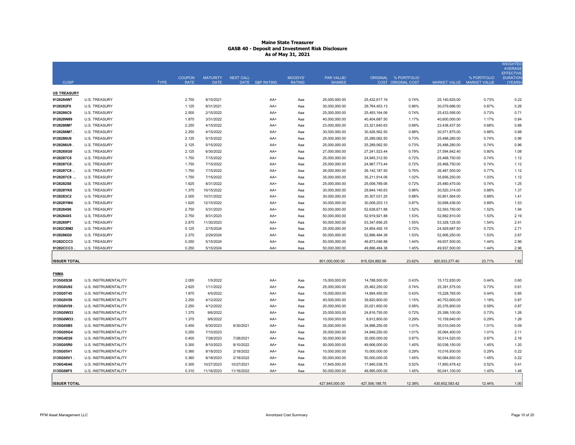|                        |                                              |             |                              |                                |                  |                 |                          |                                |                                |                                                   |                                |                | WEIGHTED<br><b>AVERAGE</b>                    |
|------------------------|----------------------------------------------|-------------|------------------------------|--------------------------------|------------------|-----------------|--------------------------|--------------------------------|--------------------------------|---------------------------------------------------|--------------------------------|----------------|-----------------------------------------------|
| <b>CUSIP</b>           |                                              | <b>TYPE</b> | <b>COUPON</b><br><b>RATE</b> | <b>MATURITY</b><br><b>DATE</b> | <b>NEXT CALL</b> | DATE S&P RATING | MOODYS'<br><b>RATING</b> | PAR VALUE/<br><b>SHARES</b>    |                                | ORIGINAL % PORTFOLIO<br><b>COST ORIGINAL COST</b> | MARKET VALUE MARKET VALUE      | % PORTFOLIO    | <b>EFFECTIVE</b><br><b>DURATION</b><br>(YEARS |
|                        |                                              |             |                              |                                |                  |                 |                          |                                |                                |                                                   |                                |                |                                               |
| <b>US TREASURY</b>     |                                              |             |                              |                                |                  |                 |                          |                                |                                |                                                   |                                |                |                                               |
| 9128284W7              | <b>U.S. TREASURY</b>                         |             | 2.750                        | 8/15/2021                      |                  | AA+             | Aaa                      | 25,000,000.00                  | 25,432,617.19                  | 0.74%                                             | 25,140,625.00                  | 0.73%          | 0.22                                          |
| 9128282F6              | <b>U.S. TREASURY</b>                         |             | 1.125                        | 8/31/2021                      |                  | AA+             | Aaa                      | 30,000,000.00                  | 29,764,453.13                  | 0.86%                                             | 30,079,686.00                  | 0.87%          | 0.26                                          |
| 9128286C9<br>912828W89 | <b>U.S. TREASURY</b><br><b>U.S. TREASURY</b> |             | 2.500<br>1.875               | 2/15/2022<br>3/31/2022         |                  | AA+             | Ааа                      | 25,000,000.00<br>40,000,000.00 | 25,493,164.06<br>40,404,687.50 | 0.74%<br>1.17%                                    | 25,433,595.00<br>40,600,000.00 | 0.73%<br>1.17% | 0.71<br>0.84                                  |
| 9128286M7              | <b>U.S. TREASURY</b>                         |             | 2.250                        | 4/15/2022                      |                  | AA+             | Ааа                      |                                |                                | 0.68%                                             |                                | 0.68%          |                                               |
|                        |                                              |             |                              |                                |                  | AA+             | Aaa                      | 23,000,000.00                  | 23,321,640.63                  |                                                   | 23,438,437.50                  |                | 0.88                                          |
| 9128286M7<br>9128286U9 | U.S. TREASURY<br><b>U.S. TREASURY</b>        |             | 2.250<br>2.125               | 4/15/2022<br>5/15/2022         |                  | AA+<br>AA+      | Ааа<br>Ааа               | 30,000,000.00<br>25,000,000.00 | 30,426,562.50<br>25,289,062.50 | 0.88%<br>0.73%                                    | 30,571,875.00<br>25,488,280.00 | 0.88%<br>0.74% | 0.88<br>0.96                                  |
| 9128286U9              | <b>U.S. TREASURY</b>                         |             | 2.125                        | 5/15/2022                      |                  | AA+             | Ааа                      | 25,000,000.00                  | 25,289,062.50                  | 0.73%                                             | 25,488,280.00                  | 0.74%          | 0.96                                          |
| 912828XG0              | <b>U.S. TREASURY</b>                         |             | 2.125                        | 6/30/2022                      |                  | $AA+$           | Ааа                      | 27,000,000.00                  | 27,241,523.44                  | 0.79%                                             | 27,594,842.40                  | 0.80%          | 1.08                                          |
| 9128287C8              | <b>U.S. TREASURY</b>                         |             | 1.750                        | 7/15/2022                      |                  | AA+             | Aaa                      | 25,000,000.00                  | 24,945,312.50                  | 0.72%                                             | 25,468,750.00                  | 0.74%          | 1.12                                          |
| 9128287C8              | <b>U.S. TREASURY</b>                         |             | 1.750                        | 7/15/2022                      |                  | AA+             | Ааа                      | 25,000,000.00                  | 24,967,773.44                  | 0.72%                                             | 25,468,750.00                  | 0.74%          | 1.12                                          |
| 9128287C8.             | <b>U.S. TREASURY</b>                         |             | 1.750                        | 7/15/2022                      |                  | AA+             | Aaa                      | 26,000,000.00                  | 26, 142, 187.50                | 0.76%                                             | 26,487,500.00                  | 0.77%          | 1.12                                          |
| 9128287C8              | <b>U.S. TREASURY</b>                         |             | 1.750                        | 7/15/2022                      |                  | AA+             | Aaa                      | 35,000,000.00                  | 35,211,914.06                  | 1.02%                                             | 35,656,250.00                  | 1.03%          | 1.12                                          |
| 9128282S8              | <b>U.S. TREASURY</b>                         |             | 1.625                        | 8/31/2022                      |                  | AA+             | Aaa                      | 25,000,000.00                  | 25,008,789.06                  | 0.72%                                             | 25,480,470.00                  | 0.74%          | 1.25                                          |
| 912828YK0              | U.S. TREASURY                                |             | 1.375                        | 10/15/2022                     |                  | AA+             | Aaa                      | 30,000,000.00                  | 29,844,140.63                  | 0.86%                                             | 30,520,314.00                  | 0.88%          | 1.37                                          |
| 9128283C2              | <b>U.S. TREASURY</b>                         |             | 2.000                        | 10/31/2022                     |                  | AA+             | Aaa                      | 30,000,000.00                  | 30,307,031.25                  | 0.88%                                             | 30,801,564.00                  | 0.89%          | 1.41                                          |
| 912828YW4              | <b>U.S. TREASURY</b>                         |             | 1.625                        | 12/15/2022                     |                  | AA+             | Aaa                      | 30,000,000.00                  | 30,008,203.13                  | 0.87%                                             | 30,698,436.00                  | 0.89%          | 1.53                                          |
| 9128284S6              | <b>U.S. TREASURY</b>                         |             | 2.750                        | 5/31/2023                      |                  | AA+             | Aaa                      | 50,000,000.00                  | 52,638,671.88                  | 1.52%                                             | 52,593,750.00                  | 1.52%          | 1.94                                          |
| 9128284X5              | <b>U.S. TREASURY</b>                         |             | 2.750                        | 8/31/2023                      |                  | AA+             | Ааа                      | 50,000,000.00                  | 52,919,921.88                  | 1.53%                                             | 52,882,810.00                  | 1.53%          | 2.19                                          |
| 9128285P1              | <b>U.S. TREASURY</b>                         |             | 2.875                        | 11/30/2023                     |                  | AA+             | Aaa                      | 50,000,000.00                  | 53,347,656.25                  | 1.55%                                             | 53,328,125.00                  | 1.54%          | 2.41                                          |
| 91282CBM2              | <b>U.S. TREASURY</b>                         |             | 0.125                        | 2/15/2024                      |                  | AA+             | Ааа                      | 25,000,000.00                  | 24,854,492.19                  | 0.72%                                             | 24,929,687.50                  | 0.72%          | 2.71                                          |
| 9128286G0              | <b>U.S. TREASURY</b>                         |             | 2.375                        | 2/29/2024                      |                  | AA+             | Ааа                      | 50,000,000.00                  | 52,896,484.38                  | 1.53%                                             | 52,906,250.00                  | 1.53%          | 2.67                                          |
| 91282CCC3              | <b>U.S. TREASURY</b>                         |             | 0.250                        | 5/15/2024                      |                  | AA+             | Aaa                      | 50,000,000.00                  | 49,873,046.88                  | 1.44%                                             | 49,937,500.00                  | 1.44%          | 2.96                                          |
| 91282CCC3              | <b>U.S. TREASURY</b>                         |             | 0.250                        | 5/15/2024                      |                  | AA+             | Aaa                      | 50,000,000.00                  | 49,896,484.38                  | 1.45%                                             | 49,937,500.00                  | 1.44%          | 2.96                                          |
|                        |                                              |             |                              |                                |                  |                 |                          |                                |                                |                                                   |                                |                |                                               |
| <b>ISSUER TOTAL</b>    |                                              |             |                              |                                |                  |                 |                          | 801,000,000.00                 | 815,524,882.86                 | 23.62%                                            | 820,933,277.40                 | 23.71%         | 1.62                                          |
| <b>ENMA</b>            |                                              |             |                              |                                |                  |                 |                          |                                |                                |                                                   |                                |                |                                               |
| 3135G0S38              | U.S. INSTRUMENTALITY                         |             | 2.000                        | 1/5/2022                       |                  | AA+             | Aaa                      | 15,000,000.00                  | 14,788,500.00                  | 0.43%                                             | 15,172,830.00                  | 0.44%          | 0.60                                          |
| 3135G0U92              | U.S. INSTRUMENTALITY                         |             | 2.625                        | 1/11/2022                      |                  | AA+             | Ааа                      | 25,000,000.00                  | 25,462,250.00                  | 0.74%                                             | 25,391,575.00                  | 0.73%          | 0.61                                          |
| 3135G0T45              | U.S. INSTRUMENTALITY                         |             | 1.875                        | 4/5/2022                       |                  | AA+             | Aaa                      | 15,000,000.00                  | 14,994,450.00                  | 0.43%                                             | 15,228,765.00                  | 0.44%          | 0.85                                          |
| 3135G0V59              | U.S. INSTRUMENTALITY                         |             | 2.250                        | 4/12/2022                      |                  | AA+             | Ааа                      | 40,000,000.00                  | 39,820,800.00                  | 1.15%                                             | 40,753,600.00                  | 1.18%          | 0.87                                          |
| 3135G0V59              | U.S. INSTRUMENTALITY                         |             | 2.250                        | 4/12/2022                      |                  | AA+             | Aaa                      | 20,000,000.00                  | 20,021,600.00                  | 0.58%                                             | 20,376,800.00                  | 0.59%          | 0.87                                          |
| 3135G0W33              | U.S. INSTRUMENTALITY                         |             | 1.375                        | 9/6/2022                       |                  | AA+             | Aaa                      | 25,000,000.00                  | 24,816,750.00                  | 0.72%                                             | 25,399,100.00                  | 0.73%          | 1.26                                          |
| 3135G0W33              | U.S. INSTRUMENTALITY                         |             | 1.375                        | 9/6/2022                       |                  | AA+             | Aaa                      | 10,000,000.00                  | 9,912,800.00                   | 0.29%                                             | 10,159,640.00                  | 0.29%          | 1.26                                          |
| 3135G05B5              | U.S. INSTRUMENTALITY                         |             | 0.450                        | 6/30/2023                      | 6/30/2021        | AA+             | Aaa                      | 35,000,000.00                  | 34,998,250.00                  | 1.01%                                             | 35,010,045.00                  | 1.01%          | 0.09                                          |
| 3135G05G4              | U.S. INSTRUMENTALITY                         |             | 0.250                        | 7/10/2023                      |                  | AA+             | Aaa                      | 35,000,000.00                  | 34,949,250.00                  | 1.01%                                             | 35,064,400.00                  | 1.01%          | 2.11                                          |
| 3136G4D26              | U.S. INSTRUMENTALITY                         |             | 0.400                        | 7/28/2023                      | 7/28/2021        | AA+             | Ааа                      | 30,000,000.00                  | 30,000,000.00                  | 0.87%                                             | 30,014,520.00                  | 0.87%          | 2.16                                          |
| 3135G05R0              | U.S. INSTRUMENTALITY                         |             | 0.300                        | 8/10/2023                      | 8/10/2022        | AA+             | Aaa                      | 50,000,000.00                  | 49,906,000.00                  | 1.45%                                             | 50,038,150.00                  | 1.45%          | 1.20                                          |
| 3135G05V1              | U.S. INSTRUMENTALITY                         |             | 0.360                        | 8/18/2023                      | 2/18/2022        | AA+             | Ааа                      | 10,000,000.00                  | 10,000,000.00                  | 0.29%                                             | 10,016,930.00                  | 0.29%          | 0.22                                          |
| 3135G05V1              | U.S. INSTRUMENTALITY                         |             | 0.360                        | 8/18/2023                      | 2/18/2022        | AA+             | Ааа                      | 50,000,000.00                  | 50,000,000.00                  | 1.45%                                             | 50,084,650.00                  | 1.45%          | 0.22                                          |
| 3136G46A6              | U.S. INSTRUMENTALITY                         |             | 0.300                        | 10/27/2023                     | 10/27/2021       | AA+             | Aaa                      | 17,845,000.00                  | 17,840,538.75                  | 0.52%                                             | 17,850,478.42                  | 0.52%          | 0.41                                          |
| 3135G06F5              | U.S. INSTRUMENTALITY                         |             | 0.310                        | 11/16/2023                     | 11/16/2022       | AA+             | Ааа                      | 50,000,000.00                  | 49,995,000.00                  | 1.45%                                             | 50,041,100.00                  | 1.45%          | 1.46                                          |
| <b>ISSUER TOTAL</b>    |                                              |             |                              |                                |                  |                 |                          | 427,845,000.00                 | 427,506,188.75                 | 12.38%                                            | 430,602,583.42                 | 12.44%         | 1.00                                          |
|                        |                                              |             |                              |                                |                  |                 |                          |                                |                                |                                                   |                                |                |                                               |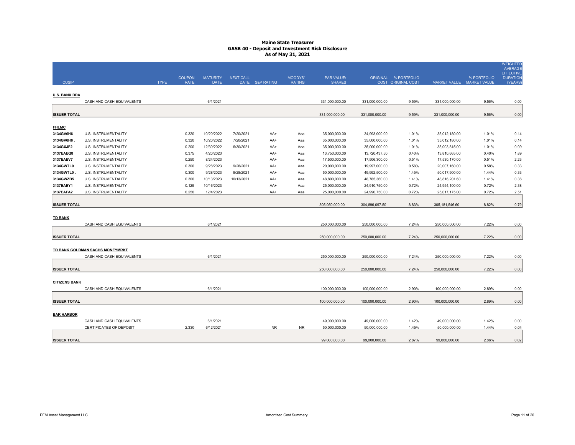|                      |                                        |             |                              |                                |                  |                 |                          |                             |                |                                            |                  |                                          | WEIGHTED<br><b>AVERAGE</b><br><b>EFFECTIVE</b> |
|----------------------|----------------------------------------|-------------|------------------------------|--------------------------------|------------------|-----------------|--------------------------|-----------------------------|----------------|--------------------------------------------|------------------|------------------------------------------|------------------------------------------------|
| <b>CUSIP</b>         |                                        | <b>TYPE</b> | <b>COUPON</b><br><b>RATE</b> | <b>MATURITY</b><br><b>DATE</b> | <b>NEXT CALL</b> | DATE S&P RATING | MOODYS'<br><b>RATING</b> | PAR VALUE/<br><b>SHARES</b> |                | ORIGINAL % PORTFOLIO<br>COST ORIGINAL COST |                  | % PORTFOLIO<br>MARKET VALUE MARKET VALUE | <b>DURATION</b><br>(YEARS                      |
|                      |                                        |             |                              |                                |                  |                 |                          |                             |                |                                            |                  |                                          |                                                |
| <b>U.S. BANK DDA</b> |                                        |             |                              |                                |                  |                 |                          |                             |                |                                            |                  |                                          |                                                |
|                      | CASH AND CASH EQUIVALENTS              |             |                              | 6/1/2021                       |                  |                 |                          | 331,000,000.00              | 331,000,000.00 | 9.59%                                      | 331,000,000.00   | 9.56%                                    | 0.00                                           |
|                      |                                        |             |                              |                                |                  |                 |                          |                             |                |                                            |                  |                                          |                                                |
| <b>ISSUER TOTAL</b>  |                                        |             |                              |                                |                  |                 |                          | 331,000,000.00              | 331,000,000.00 | 9.59%                                      | 331,000,000.00   | 9.56%                                    | 0.00                                           |
| <b>FHLMC</b>         |                                        |             |                              |                                |                  |                 |                          |                             |                |                                            |                  |                                          |                                                |
| 3134GV6H6            | U.S. INSTRUMENTALITY                   |             | 0.320                        | 10/20/2022                     | 7/20/2021        | AA+             | Aaa                      | 35,000,000.00               | 34,993,000.00  | 1.01%                                      | 35,012,180.00    | 1.01%                                    | 0.14                                           |
| 3134GV6H6            | U.S. INSTRUMENTALITY                   |             | 0.320                        | 10/20/2022                     | 7/20/2021        | AA+             | Aaa                      | 35,000,000.00               | 35,000,000.00  | 1.01%                                      | 35,012,180.00    | 1.01%                                    | 0.14                                           |
| 3134GXJF2            | U.S. INSTRUMENTALITY                   |             | 0.200                        | 12/30/2022                     | 6/30/2021        | AA+             | Aaa                      | 35,000,000.00               | 35,000,000.00  | 1.01%                                      | 35,003,815.00    | 1.01%                                    | 0.09                                           |
| 3137EAEQ8            | U.S. INSTRUMENTALITY                   |             | 0.375                        | 4/20/2023                      |                  | AA+             | Aaa                      | 13,750,000.00               | 13,720,437.50  | 0.40%                                      | 13,810,665.00    | 0.40%                                    | 1.89                                           |
| 3137EAEV7            | U.S. INSTRUMENTALITY                   |             | 0.250                        | 8/24/2023                      |                  | AA+             | Aaa                      | 17,500,000.00               | 17,506,300.00  | 0.51%                                      | 17,530,170.00    | 0.51%                                    | 2.23                                           |
| 3134GWTL0            | U.S. INSTRUMENTALITY                   |             | 0.300                        | 9/28/2023                      | 9/28/2021        | AA+             | Aaa                      | 20,000,000.00               | 19,997,000.00  | 0.58%                                      | 20,007,160.00    | 0.58%                                    | 0.33                                           |
| 3134GWTL0            | U.S. INSTRUMENTALITY                   |             | 0.300                        | 9/28/2023                      | 9/28/2021        | AA+             | Aaa                      | 50,000,000.00               | 49,992,500.00  | 1.45%                                      | 50,017,900.00    | 1.44%                                    | 0.33                                           |
| 3134GWZB5            | U.S. INSTRUMENTALITY                   |             | 0.300                        | 10/13/2023                     | 10/13/2021       | AA+             | Aaa                      | 48,800,000.00               | 48,785,360.00  | 1.41%                                      | 48,816,201.60    | 1.41%                                    | 0.38                                           |
| 3137EAEY1            | U.S. INSTRUMENTALITY                   |             | 0.125                        | 10/16/2023                     |                  | AA+             | Aaa                      | 25,000,000.00               | 24,910,750.00  | 0.72%                                      | 24,954,100.00    | 0.72%                                    | 2.38                                           |
| 3137EAFA2            | U.S. INSTRUMENTALITY                   |             | 0.250                        | 12/4/2023                      |                  | AA+             | Aaa                      | 25,000,000.00               | 24,990,750.00  | 0.72%                                      | 25,017,175.00    | 0.72%                                    | 2.51                                           |
|                      |                                        |             |                              |                                |                  |                 |                          |                             |                |                                            |                  |                                          |                                                |
| <b>ISSUER TOTAL</b>  |                                        |             |                              |                                |                  |                 |                          | 305,050,000.00              | 304,896,097.50 | 8.83%                                      | 305, 181, 546.60 | 8.82%                                    | 0.79                                           |
|                      |                                        |             |                              |                                |                  |                 |                          |                             |                |                                            |                  |                                          |                                                |
| <b>TD BANK</b>       |                                        |             |                              |                                |                  |                 |                          |                             |                |                                            |                  |                                          |                                                |
|                      | CASH AND CASH EQUIVALENTS              |             |                              | 6/1/2021                       |                  |                 |                          | 250.000.000.00              | 250,000,000.00 | 7.24%                                      | 250,000,000.00   | 7.22%                                    | 0.00                                           |
| <b>ISSUER TOTAL</b>  |                                        |             |                              |                                |                  |                 |                          | 250,000,000.00              | 250,000,000.00 | 7.24%                                      | 250,000,000.00   | 7.22%                                    | 0.00                                           |
|                      |                                        |             |                              |                                |                  |                 |                          |                             |                |                                            |                  |                                          |                                                |
|                      | <b>TD BANK GOLDMAN SACHS MONEYMRKT</b> |             |                              |                                |                  |                 |                          |                             |                |                                            |                  |                                          |                                                |
|                      | CASH AND CASH EQUIVALENTS              |             |                              | 6/1/2021                       |                  |                 |                          | 250,000,000.00              | 250,000,000.00 | 7.24%                                      | 250,000,000.00   | 7.22%                                    | 0.00                                           |
|                      |                                        |             |                              |                                |                  |                 |                          |                             |                |                                            |                  |                                          |                                                |
| <b>ISSUER TOTAL</b>  |                                        |             |                              |                                |                  |                 |                          | 250,000,000.00              | 250,000,000.00 | 7.24%                                      | 250,000,000.00   | 7.22%                                    | 0.00                                           |
|                      |                                        |             |                              |                                |                  |                 |                          |                             |                |                                            |                  |                                          |                                                |
| <b>CITIZENS BANK</b> |                                        |             |                              |                                |                  |                 |                          |                             |                |                                            |                  |                                          |                                                |
|                      | CASH AND CASH EQUIVALENTS              |             |                              | 6/1/2021                       |                  |                 |                          | 100.000.000.00              | 100,000,000.00 | 2.90%                                      | 100,000,000.00   | 2.89%                                    | 0.00                                           |
|                      |                                        |             |                              |                                |                  |                 |                          |                             |                |                                            |                  |                                          |                                                |
| <b>ISSUER TOTAL</b>  |                                        |             |                              |                                |                  |                 |                          | 100,000,000.00              | 100,000,000.00 | 2.90%                                      | 100,000,000.00   | 2.89%                                    | 0.00                                           |
|                      |                                        |             |                              |                                |                  |                 |                          |                             |                |                                            |                  |                                          |                                                |
| <b>BAR HARBOR</b>    |                                        |             |                              |                                |                  |                 |                          |                             |                |                                            |                  |                                          |                                                |
|                      | CASH AND CASH EQUIVALENTS              |             |                              | 6/1/2021                       |                  |                 |                          | 49,000,000.00               | 49,000,000.00  | 1.42%                                      | 49,000,000.00    | 1.42%                                    | 0.00                                           |
|                      | <b>CERTIFICATES OF DEPOSIT</b>         |             | 2.330                        | 6/12/2021                      |                  | <b>NR</b>       | <b>NR</b>                | 50.000.000.00               | 50,000,000.00  | 1.45%                                      | 50,000,000.00    | 1.44%                                    | 0.04                                           |
| <b>ISSUER TOTAL</b>  |                                        |             |                              |                                |                  |                 |                          | 99,000,000.00               | 99,000,000.00  | 2.87%                                      | 99,000,000.00    | 2.86%                                    | 0.02                                           |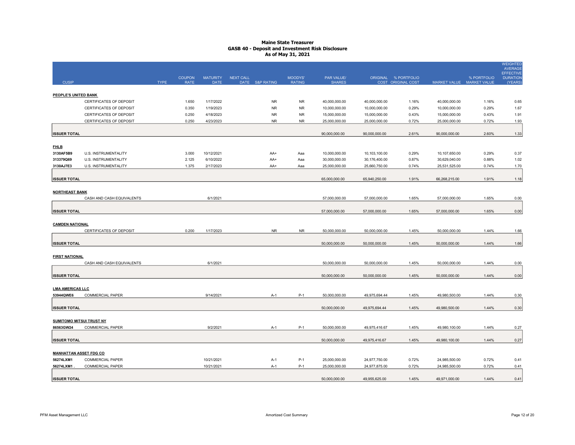|                                 |                                |             |               |                 |                  |                 |               |               |               |                      |                           |             | <b>WEIGHTED</b>                    |
|---------------------------------|--------------------------------|-------------|---------------|-----------------|------------------|-----------------|---------------|---------------|---------------|----------------------|---------------------------|-------------|------------------------------------|
|                                 |                                |             |               |                 |                  |                 |               |               |               |                      |                           |             | <b>AVERAGE</b><br><b>EFFECTIVE</b> |
|                                 |                                |             | <b>COUPON</b> | <b>MATURITY</b> | <b>NEXT CALL</b> |                 | MOODYS'       | PAR VALUE/    |               | ORIGINAL % PORTFOLIO |                           | % PORTFOLIO | <b>DURATION</b>                    |
| <b>CUSIP</b>                    |                                | <b>TYPE</b> | <b>RATE</b>   | <b>DATE</b>     |                  | DATE S&P RATING | <b>RATING</b> | <b>SHARES</b> |               | COST ORIGINAL COST   | MARKET VALUE MARKET VALUE |             | (YEARS                             |
| PEOPLE'S UNITED BANK            |                                |             |               |                 |                  |                 |               |               |               |                      |                           |             |                                    |
|                                 | CERTIFICATES OF DEPOSIT        |             | 1.650         | 1/17/2022       |                  | <b>NR</b>       | <b>NR</b>     | 40,000,000.00 | 40,000,000.00 | 1.16%                | 40,000,000.00             | 1.16%       | 0.65                               |
|                                 | CERTIFICATES OF DEPOSIT        |             | 0.350         | 1/19/2023       |                  | <b>NR</b>       | <b>NR</b>     | 10,000,000.00 | 10,000,000.00 | 0.29%                | 10,000,000.00             | 0.29%       | 1.67                               |
|                                 | CERTIFICATES OF DEPOSIT        |             | 0.250         | 4/18/2023       |                  | <b>NR</b>       | <b>NR</b>     | 15,000,000.00 | 15,000,000.00 | 0.43%                | 15,000,000.00             | 0.43%       | 1.91                               |
|                                 | CERTIFICATES OF DEPOSIT        |             | 0.250         | 4/23/2023       |                  | <b>NR</b>       | <b>NR</b>     | 25,000,000.00 | 25,000,000.00 | 0.72%                | 25,000,000.00             | 0.72%       | 1.93                               |
|                                 |                                |             |               |                 |                  |                 |               |               |               |                      |                           |             |                                    |
| <b>ISSUER TOTAL</b>             |                                |             |               |                 |                  |                 |               | 90,000,000.00 | 90,000,000.00 | 2.61%                | 90,000,000.00             | 2.60%       | 1.33                               |
|                                 |                                |             |               |                 |                  |                 |               |               |               |                      |                           |             |                                    |
| <b>FHLB</b>                     |                                |             |               |                 |                  |                 |               |               |               |                      |                           |             |                                    |
| 3130AF5B9                       | U.S. INSTRUMENTALITY           |             | 3.000         | 10/12/2021      |                  | AA+             | Aaa           | 10,000,000.00 | 10,103,100.00 | 0.29%                | 10,107,650.00             | 0.29%       | 0.37                               |
| 313379Q69                       | U.S. INSTRUMENTALITY           |             | 2.125         | 6/10/2022       |                  | AA+             | Aaa           | 30,000,000.00 | 30,176,400.00 | 0.87%                | 30,629,040.00             | 0.88%       | 1.02                               |
| 3130AJ7E3                       | U.S. INSTRUMENTALITY           |             | 1.375         | 2/17/2023       |                  | AA+             | Aaa           | 25,000,000.00 | 25,660,750.00 | 0.74%                | 25,531,525.00             | 0.74%       | 1.70                               |
|                                 |                                |             |               |                 |                  |                 |               |               |               |                      |                           |             |                                    |
| <b>ISSUER TOTAL</b>             |                                |             |               |                 |                  |                 |               | 65,000,000.00 | 65,940,250.00 | 1.91%                | 66,268,215.00             | 1.91%       | 1.18                               |
|                                 |                                |             |               |                 |                  |                 |               |               |               |                      |                           |             |                                    |
| <b>NORTHEAST BANK</b>           | CASH AND CASH EQUIVALENTS      |             |               | 6/1/2021        |                  |                 |               | 57,000,000.00 | 57,000,000.00 | 1.65%                | 57,000,000.00             | 1.65%       | 0.00                               |
|                                 |                                |             |               |                 |                  |                 |               |               |               |                      |                           |             |                                    |
| <b>ISSUER TOTAL</b>             |                                |             |               |                 |                  |                 |               | 57,000,000.00 | 57,000,000.00 | 1.65%                | 57,000,000.00             | 1.65%       | 0.00                               |
|                                 |                                |             |               |                 |                  |                 |               |               |               |                      |                           |             |                                    |
| <b>CAMDEN NATIONAL</b>          |                                |             |               |                 |                  |                 |               |               |               |                      |                           |             |                                    |
|                                 | <b>CERTIFICATES OF DEPOSIT</b> |             | 0.200         | 1/17/2023       |                  | <b>NR</b>       | <b>NR</b>     | 50,000,000.00 | 50,000,000.00 | 1.45%                | 50,000,000.00             | 1.44%       | 1.66                               |
|                                 |                                |             |               |                 |                  |                 |               |               |               |                      |                           |             |                                    |
| <b>ISSUER TOTAL</b>             |                                |             |               |                 |                  |                 |               | 50,000,000.00 | 50,000,000.00 | 1.45%                | 50,000,000.00             | 1.44%       | 1.66                               |
|                                 |                                |             |               |                 |                  |                 |               |               |               |                      |                           |             |                                    |
| <b>FIRST NATIONAL</b>           |                                |             |               |                 |                  |                 |               |               |               |                      |                           |             |                                    |
|                                 | CASH AND CASH EQUIVALENTS      |             |               | 6/1/2021        |                  |                 |               | 50,000,000.00 | 50,000,000.00 | 1.45%                | 50,000,000.00             | 1.44%       | 0.00                               |
|                                 |                                |             |               |                 |                  |                 |               |               |               |                      |                           |             |                                    |
| <b>ISSUER TOTAL</b>             |                                |             |               |                 |                  |                 |               | 50,000,000.00 | 50,000,000.00 | 1.45%                | 50,000,000.00             | 1.44%       | 0.00                               |
|                                 |                                |             |               |                 |                  |                 |               |               |               |                      |                           |             |                                    |
| <b>LMA AMERICAS LLC</b>         |                                |             |               |                 |                  |                 |               |               |               |                      |                           |             |                                    |
| 53944QWE6                       | <b>COMMERCIAL PAPER</b>        |             |               | 9/14/2021       |                  | A-1             | P-1           | 50,000,000.00 | 49,975,694.44 | 1.45%                | 49,980,500.00             | 1.44%       | 0.30                               |
| <b>ISSUER TOTAL</b>             |                                |             |               |                 |                  |                 |               | 50,000,000.00 | 49,975,694.44 | 1.45%                | 49,980,500.00             | 1.44%       |                                    |
|                                 |                                |             |               |                 |                  |                 |               |               |               |                      |                           |             | 0.30                               |
| <b>SUMITOMO MITSUI TRUST NY</b> |                                |             |               |                 |                  |                 |               |               |               |                      |                           |             |                                    |
| 86563GW24                       | <b>COMMERCIAL PAPER</b>        |             |               | 9/2/2021        |                  | $A-1$           | $P-1$         | 50,000,000.00 | 49,975,416.67 | 1.45%                | 49,980,100.00             | 1.44%       | 0.27                               |
|                                 |                                |             |               |                 |                  |                 |               |               |               |                      |                           |             |                                    |
| <b>ISSUER TOTAL</b>             |                                |             |               |                 |                  |                 |               | 50,000,000.00 | 49,975,416.67 | 1.45%                | 49,980,100.00             | 1.44%       | 0.27                               |
|                                 |                                |             |               |                 |                  |                 |               |               |               |                      |                           |             |                                    |
| <b>MANHATTAN ASSET FDG CO</b>   |                                |             |               |                 |                  |                 |               |               |               |                      |                           |             |                                    |
| 56274LXM1                       | <b>COMMERCIAL PAPER</b>        |             |               | 10/21/2021      |                  | $A-1$           | $P-1$         | 25,000,000.00 | 24,977,750.00 | 0.72%                | 24,985,500.00             | 0.72%       | 0.41                               |
| 56274LXM1                       | <b>COMMERCIAL PAPER</b>        |             |               | 10/21/2021      |                  | A-1             | $P-1$         | 25,000,000.00 | 24,977,875.00 | 0.72%                | 24,985,500.00             | 0.72%       | 0.41                               |
|                                 |                                |             |               |                 |                  |                 |               |               |               |                      |                           |             |                                    |
| <b>ISSUER TOTAL</b>             |                                |             |               |                 |                  |                 |               | 50,000,000.00 | 49,955,625.00 | 1.45%                | 49,971,000.00             | 1.44%       | 0.41                               |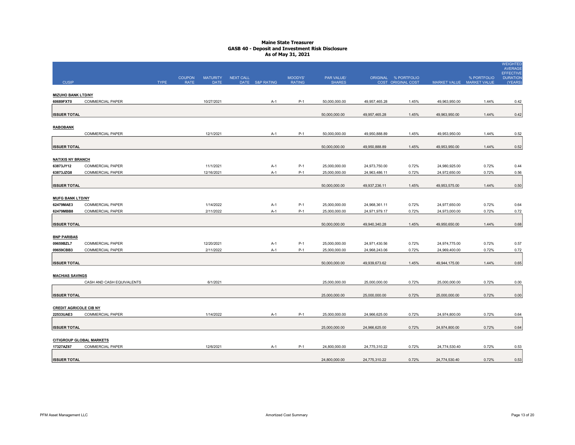|                               |                                 |             |                              |                         |                  |                 |                          |                             |               |                                            |               |                                          | <b>WEIGHTED</b><br><b>AVERAGE</b><br><b>EFFECTIVE</b> |
|-------------------------------|---------------------------------|-------------|------------------------------|-------------------------|------------------|-----------------|--------------------------|-----------------------------|---------------|--------------------------------------------|---------------|------------------------------------------|-------------------------------------------------------|
| <b>CUSIP</b>                  |                                 | <b>TYPE</b> | <b>COUPON</b><br><b>RATE</b> | <b>MATURITY</b><br>DATE | <b>NEXT CALL</b> | DATE S&P RATING | MOODYS'<br><b>RATING</b> | PAR VALUE/<br><b>SHARES</b> |               | ORIGINAL % PORTFOLIO<br>COST ORIGINAL COST |               | % PORTFOLIO<br>MARKET VALUE MARKET VALUE | <b>DURATION</b><br>(YEARS                             |
| <b>MIZUHO BANK LTD/NY</b>     |                                 |             |                              |                         |                  |                 |                          |                             |               |                                            |               |                                          |                                                       |
| 60689FXT0                     | <b>COMMERCIAL PAPER</b>         |             |                              | 10/27/2021              |                  | A-1             | P-1                      | 50,000,000.00               | 49,957,465.28 | 1.45%                                      | 49,963,950.00 | 1.44%                                    | 0.42                                                  |
| <b>ISSUER TOTAL</b>           |                                 |             |                              |                         |                  |                 |                          | 50,000,000.00               | 49,957,465.28 | 1.45%                                      | 49,963,950.00 | 1.44%                                    | 0.42                                                  |
| <b>RABOBANK</b>               |                                 |             |                              |                         |                  |                 |                          |                             |               |                                            |               |                                          |                                                       |
|                               | <b>COMMERCIAL PAPER</b>         |             |                              | 12/1/2021               |                  | A-1             | $P-1$                    | 50,000,000.00               | 49,950,888.89 | 1.45%                                      | 49,953,950.00 | 1.44%                                    | 0.52                                                  |
| <b>ISSUER TOTAL</b>           |                                 |             |                              |                         |                  |                 |                          | 50,000,000.00               | 49,950,888.89 | 1.45%                                      | 49,953,950.00 | 1.44%                                    | 0.52                                                  |
| <b>NATIXIS NY BRANCH</b>      |                                 |             |                              |                         |                  |                 |                          |                             |               |                                            |               |                                          |                                                       |
| 63873JY12                     | <b>COMMERCIAL PAPER</b>         |             |                              | 11/1/2021               |                  | $A-1$           | $P-1$                    | 25,000,000.00               | 24,973,750.00 | 0.72%                                      | 24,980,925.00 | 0.72%                                    | 0.44                                                  |
| 63873JZG8                     | <b>COMMERCIAL PAPER</b>         |             |                              | 12/16/2021              |                  | A-1             | $P-1$                    | 25,000,000.00               | 24,963,486.11 | 0.72%                                      | 24,972,650.00 | 0.72%                                    | 0.56                                                  |
| <b>ISSUER TOTAL</b>           |                                 |             |                              |                         |                  |                 |                          | 50,000,000.00               | 49,937,236.11 | 1.45%                                      | 49,953,575.00 | 1.44%                                    | 0.50                                                  |
| <b>MUFG BANK LTD/NY</b>       |                                 |             |                              |                         |                  |                 |                          |                             |               |                                            |               |                                          |                                                       |
| 62479MAE3                     | <b>COMMERCIAL PAPER</b>         |             |                              | 1/14/2022               |                  | $A-1$           | $P-1$                    | 25,000,000.00               | 24,968,361.11 | 0.72%                                      | 24,977,650.00 | 0.72%                                    | 0.64                                                  |
| 62479MBB8                     | <b>COMMERCIAL PAPER</b>         |             |                              | 2/11/2022               |                  | A-1             | $P-1$                    | 25,000,000.00               | 24,971,979.17 | 0.72%                                      | 24,973,000.00 | 0.72%                                    | 0.72                                                  |
| <b>ISSUER TOTAL</b>           |                                 |             |                              |                         |                  |                 |                          | 50,000,000.00               | 49,940,340.28 | 1.45%                                      | 49,950,650.00 | 1.44%                                    | 0.68                                                  |
| <b>BNP PARIBAS</b>            |                                 |             |                              |                         |                  |                 |                          |                             |               |                                            |               |                                          |                                                       |
| 09659BZL7                     | <b>COMMERCIAL PAPER</b>         |             |                              | 12/20/2021              |                  | $A-1$           | $P-1$                    | 25,000,000.00               | 24,971,430.56 | 0.72%                                      | 24,974,775.00 | 0.72%                                    | 0.57                                                  |
| 09659CBB3                     | <b>COMMERCIAL PAPER</b>         |             |                              | 2/11/2022               |                  | A-1             | $P-1$                    | 25,000,000.00               | 24,968,243.06 | 0.72%                                      | 24,969,400.00 | 0.72%                                    | 0.72                                                  |
| <b>ISSUER TOTAL</b>           |                                 |             |                              |                         |                  |                 |                          | 50,000,000.00               | 49,939,673.62 | 1.45%                                      | 49,944,175.00 | 1.44%                                    | 0.65                                                  |
| <b>MACHIAS SAVINGS</b>        |                                 |             |                              |                         |                  |                 |                          |                             |               |                                            |               |                                          |                                                       |
|                               | CASH AND CASH EQUIVALENTS       |             |                              | 6/1/2021                |                  |                 |                          | 25.000.000.00               | 25,000,000.00 | 0.72%                                      | 25,000,000.00 | 0.72%                                    | 0.00                                                  |
| <b>ISSUER TOTAL</b>           |                                 |             |                              |                         |                  |                 |                          | 25,000,000.00               | 25,000,000.00 | 0.72%                                      | 25,000,000.00 | 0.72%                                    | 0.00                                                  |
| <b>CREDIT AGRICOLE CIB NY</b> |                                 |             |                              |                         |                  |                 |                          |                             |               |                                            |               |                                          |                                                       |
| 22533UAE3                     | <b>COMMERCIAL PAPER</b>         |             |                              | 1/14/2022               |                  | A-1             | P-1                      | 25,000,000.00               | 24,966,625.00 | 0.72%                                      | 24,974,800.00 | 0.72%                                    | 0.64                                                  |
| <b>ISSUER TOTAL</b>           |                                 |             |                              |                         |                  |                 |                          | 25,000,000.00               | 24,966,625.00 | 0.72%                                      | 24,974,800.00 | 0.72%                                    | 0.64                                                  |
|                               | <b>CITIGROUP GLOBAL MARKETS</b> |             |                              |                         |                  |                 |                          |                             |               |                                            |               |                                          |                                                       |
| 17327AZ67                     | COMMERCIAL PAPER                |             |                              | 12/6/2021               |                  | A-1             | P-1                      | 24,800,000.00               | 24,775,310.22 | 0.72%                                      | 24,774,530.40 | 0.72%                                    | 0.53                                                  |
| <b>ISSUER TOTAL</b>           |                                 |             |                              |                         |                  |                 |                          | 24,800,000.00               | 24,775,310.22 | 0.72%                                      | 24,774,530.40 | 0.72%                                    | 0.53                                                  |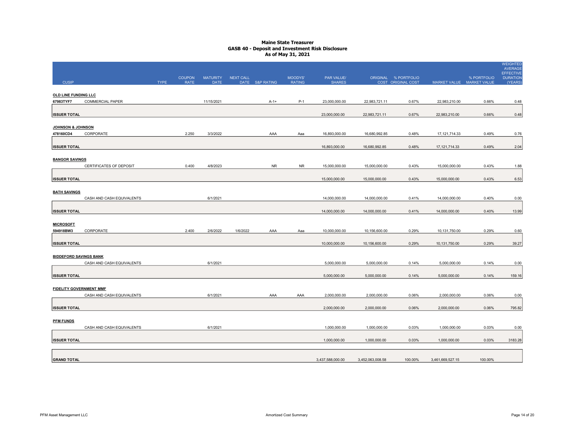| <b>CUSIP</b>                      |                           | <b>TYPE</b> | <b>COUPON</b><br><b>RATE</b> | <b>MATURITY</b><br><b>DATE</b> | <b>NEXT CALL</b> | DATE S&P RATING | MOODYS'<br><b>RATING</b> | PAR VALUE/<br><b>SHARES</b>    |                                | ORIGINAL % PORTFOLIO<br>COST ORIGINAL COST | MARKET VALUE MARKET VALUE           | % PORTFOLIO    | <b>WEIGHTED</b><br><b>AVERAGE</b><br><b>EFFECTIVE</b><br><b>DURATION</b><br><b>(YEARS</b> |
|-----------------------------------|---------------------------|-------------|------------------------------|--------------------------------|------------------|-----------------|--------------------------|--------------------------------|--------------------------------|--------------------------------------------|-------------------------------------|----------------|-------------------------------------------------------------------------------------------|
| OLD LINE FUNDING LLC<br>67983TYF7 | <b>COMMERCIAL PAPER</b>   |             |                              | 11/15/2021                     |                  | $A-1+$          | $P-1$                    | 23,000,000.00                  | 22,983,721.11                  | 0.67%                                      | 22,983,210.00                       | 0.66%          | 0.48                                                                                      |
| <b>ISSUER TOTAL</b>               |                           |             |                              |                                |                  |                 |                          | 23,000,000.00                  | 22,983,721.11                  | 0.67%                                      | 22,983,210.00                       | 0.66%          | 0.48                                                                                      |
| JOHNSON & JOHNSON                 |                           |             |                              |                                |                  |                 |                          |                                |                                |                                            |                                     |                |                                                                                           |
| 478160CD4<br><b>ISSUER TOTAL</b>  | CORPORATE                 |             | 2.250                        | 3/3/2022                       |                  | AAA             | Aaa                      | 16,893,000.00<br>16,893,000.00 | 16,680,992.85<br>16,680,992.85 | 0.48%<br>0.48%                             | 17, 121, 714.33<br>17, 121, 714. 33 | 0.49%<br>0.49% | 0.76<br>2.04                                                                              |
| <b>BANGOR SAVINGS</b>             |                           |             |                              |                                |                  |                 |                          |                                |                                |                                            |                                     |                |                                                                                           |
|                                   | CERTIFICATES OF DEPOSIT   |             | 0.400                        | 4/8/2023                       |                  | <b>NR</b>       | NR.                      | 15,000,000.00                  | 15,000,000.00                  | 0.43%                                      | 15,000,000.00                       | 0.43%          | 1.88                                                                                      |
| <b>ISSUER TOTAL</b>               |                           |             |                              |                                |                  |                 |                          | 15,000,000.00                  | 15,000,000.00                  | 0.43%                                      | 15,000,000.00                       | 0.43%          | 6.53                                                                                      |
| <b>BATH SAVINGS</b>               | CASH AND CASH EQUIVALENTS |             |                              | 6/1/2021                       |                  |                 |                          | 14,000,000.00                  | 14,000,000.00                  | 0.41%                                      | 14,000,000.00                       | 0.40%          | 0.00                                                                                      |
| <b>ISSUER TOTAL</b>               |                           |             |                              |                                |                  |                 |                          | 14,000,000.00                  | 14,000,000.00                  | 0.41%                                      | 14,000,000.00                       | 0.40%          | 13.99                                                                                     |
| <b>MICROSOFT</b>                  |                           |             |                              |                                |                  |                 |                          |                                |                                |                                            |                                     |                |                                                                                           |
| 594918BW3                         | CORPORATE                 |             | 2.400                        | 2/6/2022                       | 1/6/2022         | AAA             | Aaa                      | 10,000,000.00                  | 10,156,600.00                  | 0.29%                                      | 10,131,750.00                       | 0.29%          | 0.60                                                                                      |
| <b>ISSUER TOTAL</b>               |                           |             |                              |                                |                  |                 |                          | 10,000,000.00                  | 10,156,600.00                  | 0.29%                                      | 10,131,750.00                       | 0.29%          | 39.27                                                                                     |
| <b>BIDDEFORD SAVINGS BANK</b>     | CASH AND CASH EQUIVALENTS |             |                              | 6/1/2021                       |                  |                 |                          | 5,000,000.00                   | 5,000,000.00                   | 0.14%                                      | 5,000,000.00                        | 0.14%          | 0.00                                                                                      |
| <b>ISSUER TOTAL</b>               |                           |             |                              |                                |                  |                 |                          | 5,000,000.00                   | 5,000,000.00                   | 0.14%                                      | 5,000,000.00                        | 0.14%          | 159.16                                                                                    |
| <b>FIDELITY GOVERNMENT MMF</b>    | CASH AND CASH EQUIVALENTS |             |                              | 6/1/2021                       |                  | AAA             | AAA                      | 2,000,000.00                   | 2,000,000.00                   | 0.06%                                      | 2,000,000.00                        | 0.06%          | 0.00                                                                                      |
| <b>ISSUER TOTAL</b>               |                           |             |                              |                                |                  |                 |                          | 2,000,000.00                   | 2,000,000.00                   | 0.06%                                      | 2,000,000.00                        | 0.06%          | 795.82                                                                                    |
| <b>PFM FUNDS</b>                  |                           |             |                              |                                |                  |                 |                          |                                |                                |                                            |                                     |                |                                                                                           |
|                                   | CASH AND CASH EQUIVALENTS |             |                              | 6/1/2021                       |                  |                 |                          | 1,000,000.00                   | 1,000,000.00                   | 0.03%                                      | 1,000,000.00                        | 0.03%          | 0.00                                                                                      |
| <b>ISSUER TOTAL</b>               |                           |             |                              |                                |                  |                 |                          | 1,000,000.00                   | 1,000,000.00                   | 0.03%                                      | 1,000,000.00                        | 0.03%          | 3183.28                                                                                   |
| <b>GRAND TOTAL</b>                |                           |             |                              |                                |                  |                 |                          | 3,437,588,000.00               | 3,452,063,008.58               | 100.00%                                    | 3,461,669,527.15                    | 100.00%        |                                                                                           |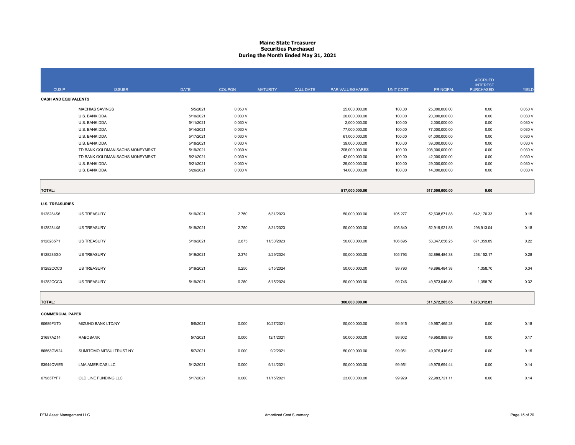#### Maine State Treasurer Securities Purchased During the Month Ended May 31, 2021

|                             |                                 |             |               |                 |                  |                  |                  |                  | <b>ACCRUED</b>   |              |
|-----------------------------|---------------------------------|-------------|---------------|-----------------|------------------|------------------|------------------|------------------|------------------|--------------|
|                             |                                 |             |               |                 |                  |                  |                  |                  | <b>INTEREST</b>  |              |
| <b>CUSIP</b>                | <b>ISSUER</b>                   | <b>DATE</b> | <b>COUPON</b> | <b>MATURITY</b> | <b>CALL DATE</b> | PAR VALUE/SHARES | <b>UNIT COST</b> | <b>PRINCIPAL</b> | <b>PURCHASED</b> | <b>YIELD</b> |
| <b>CASH AND EQUIVALENTS</b> |                                 |             |               |                 |                  |                  |                  |                  |                  |              |
|                             | <b>MACHIAS SAVINGS</b>          | 5/5/2021    | 0.050V        |                 |                  | 25,000,000.00    | 100.00           | 25,000,000.00    | 0.00             | 0.050 V      |
|                             | U.S. BANK DDA                   | 5/10/2021   | 0.030 V       |                 |                  | 20,000,000.00    | 100.00           | 20,000,000.00    | 0.00             | 0.030 V      |
|                             | U.S. BANK DDA                   | 5/11/2021   | 0.030V        |                 |                  | 2,000,000.00     | 100.00           | 2,000,000.00     | 0.00             | 0.030 V      |
|                             | U.S. BANK DDA                   | 5/14/2021   | 0.030 V       |                 |                  | 77,000,000.00    | 100.00           | 77,000,000.00    | 0.00             | 0.030 V      |
|                             | U.S. BANK DDA                   | 5/17/2021   | 0.030V        |                 |                  | 61,000,000.00    | 100.00           | 61,000,000.00    | 0.00             | 0.030 V      |
|                             | U.S. BANK DDA                   | 5/18/2021   | 0.030 V       |                 |                  | 39,000,000.00    | 100.00           | 39,000,000.00    | 0.00             | 0.030 V      |
|                             | TD BANK GOLDMAN SACHS MONEYMRKT | 5/19/2021   | 0.030V        |                 |                  | 208,000,000.00   | 100.00           | 208,000,000.00   | 0.00             | 0.030 V      |
|                             | TD BANK GOLDMAN SACHS MONEYMRKT | 5/21/2021   | 0.030V        |                 |                  | 42,000,000.00    | 100.00           | 42,000,000.00    | 0.00             | 0.030 V      |
|                             | U.S. BANK DDA                   | 5/21/2021   | 0.030 V       |                 |                  | 29,000,000.00    | 100.00           | 29,000,000.00    | 0.00             | 0.030 V      |
|                             | U.S. BANK DDA                   | 5/26/2021   | 0.030 V       |                 |                  | 14,000,000.00    | 100.00           | 14,000,000.00    | 0.00             | 0.030 V      |
|                             |                                 |             |               |                 |                  |                  |                  |                  |                  |              |
| <b>TOTAL:</b>               |                                 |             |               |                 |                  | 517,000,000.00   |                  | 517,000,000.00   | 0.00             |              |
|                             |                                 |             |               |                 |                  |                  |                  |                  |                  |              |
| <b>U.S. TREASURIES</b>      |                                 |             |               |                 |                  |                  |                  |                  |                  |              |
| 9128284S6                   | <b>US TREASURY</b>              | 5/19/2021   | 2.750         | 5/31/2023       |                  | 50,000,000.00    | 105.277          | 52,638,671.88    | 642,170.33       | 0.15         |
|                             |                                 |             |               |                 |                  |                  |                  |                  |                  |              |
| 9128284X5                   | <b>US TREASURY</b>              | 5/19/2021   | 2.750         | 8/31/2023       |                  | 50,000,000.00    | 105.840          | 52,919,921.88    | 298,913.04       | 0.18         |
|                             |                                 |             |               |                 |                  |                  |                  |                  |                  |              |
| 9128285P1                   | <b>US TREASURY</b>              | 5/19/2021   | 2.875         | 11/30/2023      |                  | 50,000,000.00    | 106.695          | 53,347,656.25    | 671,359.89       | 0.22         |
| 9128286G0                   | <b>US TREASURY</b>              | 5/19/2021   | 2.375         | 2/29/2024       |                  | 50,000,000.00    | 105.793          | 52,896,484.38    | 258,152.17       | 0.28         |
|                             |                                 |             |               |                 |                  |                  |                  |                  |                  |              |
| 91282CCC3                   | <b>US TREASURY</b>              | 5/19/2021   | 0.250         | 5/15/2024       |                  | 50,000,000.00    | 99.793           | 49,896,484.38    | 1,358.70         | 0.34         |
|                             |                                 |             |               |                 |                  |                  |                  |                  |                  |              |
| 91282CCC3.                  | <b>US TREASURY</b>              | 5/19/2021   | 0.250         | 5/15/2024       |                  | 50,000,000.00    | 99.746           | 49,873,046.88    | 1,358.70         | 0.32         |
|                             |                                 |             |               |                 |                  |                  |                  |                  |                  |              |
| TOTAL:                      |                                 |             |               |                 |                  | 300,000,000.00   |                  | 311,572,265.65   | 1,873,312.83     |              |
|                             |                                 |             |               |                 |                  |                  |                  |                  |                  |              |
| <b>COMMERCIAL PAPER</b>     |                                 |             |               |                 |                  |                  |                  |                  |                  |              |
| 60689FXT0                   | MIZUHO BANK LTD/NY              | 5/5/2021    | 0.000         | 10/27/2021      |                  | 50,000,000.00    | 99.915           | 49,957,465.28    | 0.00             | 0.18         |
|                             |                                 |             |               |                 |                  |                  |                  |                  |                  |              |
| 21687AZ14                   | RABOBANK                        | 5/7/2021    | 0.000         | 12/1/2021       |                  | 50,000,000.00    | 99.902           | 49,950,888.89    | 0.00             | 0.17         |
|                             |                                 |             |               |                 |                  |                  |                  |                  |                  |              |
| 86563GW24                   | SUMITOMO MITSUI TRUST NY        | 5/7/2021    | 0.000         | 9/2/2021        |                  | 50,000,000.00    | 99.951           | 49,975,416.67    | 0.00             | 0.15         |
|                             |                                 |             |               |                 |                  |                  |                  |                  |                  |              |
| 53944QWE6                   | LMA AMERICAS LLC                | 5/12/2021   | 0.000         | 9/14/2021       |                  | 50,000,000.00    | 99.951           | 49,975,694.44    | 0.00             | 0.14         |
|                             |                                 |             |               |                 |                  |                  |                  |                  |                  |              |
| 67983TYF7                   | OLD LINE FUNDING LLC            | 5/17/2021   | 0.000         | 11/15/2021      |                  | 23,000,000.00    | 99.929           | 22,983,721.11    | 0.00             | 0.14         |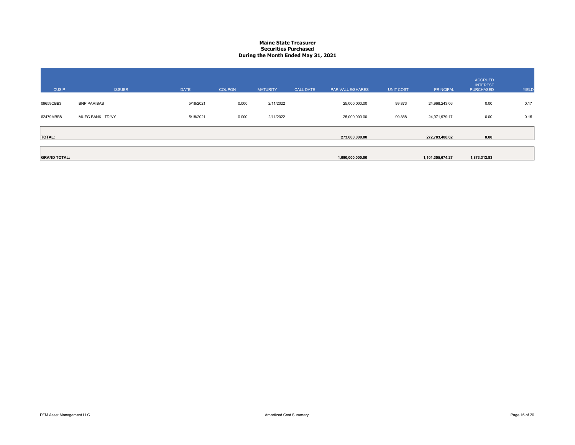#### Maine State Treasurer Securities Purchased During the Month Ended May 31, 2021

| <b>CUSIP</b>        | <b>ISSUER</b>      | <b>DATE</b> | <b>COUPON</b> | <b>MATURITY</b> | <b>CALL DATE</b> | PAR VALUE/SHARES | <b>UNIT COST</b> | PRINCIPAL        | <b>ACCRUED</b><br><b>INTEREST</b><br><b>PURCHASED</b> | YIELD |
|---------------------|--------------------|-------------|---------------|-----------------|------------------|------------------|------------------|------------------|-------------------------------------------------------|-------|
| 09659CBB3           | <b>BNP PARIBAS</b> | 5/18/2021   | 0.000         | 2/11/2022       |                  | 25,000,000.00    | 99.873           | 24,968,243.06    | 0.00                                                  | 0.17  |
| 62479MBB8           | MUFG BANK LTD/NY   | 5/18/2021   | 0.000         | 2/11/2022       |                  | 25,000,000.00    | 99.888           | 24,971,979.17    | 0.00                                                  | 0.15  |
| <b>TOTAL:</b>       |                    |             |               |                 |                  | 273,000,000.00   |                  | 272,783,408.62   | 0.00                                                  |       |
| <b>GRAND TOTAL:</b> |                    |             |               |                 |                  | 1,090,000,000.00 |                  | 1,101,355,674.27 | 1,873,312.83                                          |       |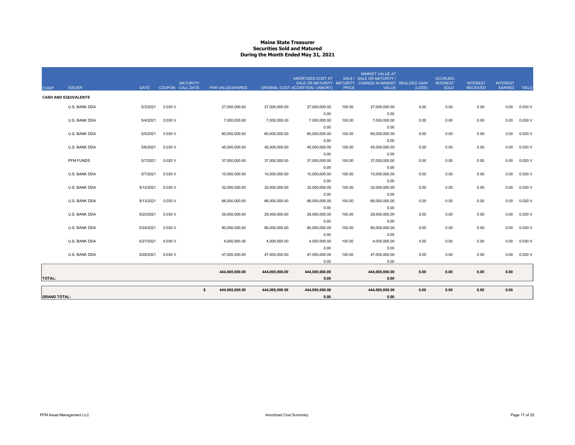#### Maine State Treasurer Securities Sold and Matured During the Month Ended May 31, 2021

| <b>CUSIP</b>        | <b>ISSUER</b>               | <b>DATE</b> | <b>MATURITY/</b><br>COUPON CALL DATE | <b>PAR VALUE/SHARES</b> |                | AMORTIZED COST AT<br>ORIGINAL COST ACCRETION / (AMORT) | <b>PRICE</b> | <b>MARKET VALUE AT</b><br>SALE / SALE OR MATURITY /<br>SALE OR MATURITY MATURITY CHANGE IN MARKET REALIZED GAIN<br>VALUE | (LOSS) | <b>ACCRUED</b><br><b>INTEREST</b><br><b>SOLD</b> | <b>INTEREST</b><br><b>RECEIVED</b> | <b>INTEREST</b><br><b>EARNED</b> | YIELD   |
|---------------------|-----------------------------|-------------|--------------------------------------|-------------------------|----------------|--------------------------------------------------------|--------------|--------------------------------------------------------------------------------------------------------------------------|--------|--------------------------------------------------|------------------------------------|----------------------------------|---------|
|                     | <b>CASH AND EQUIVALENTS</b> |             |                                      |                         |                |                                                        |              |                                                                                                                          |        |                                                  |                                    |                                  |         |
|                     | U.S. BANK DDA               | 5/3/2021    | 0.030V                               | 27,000,000.00           | 27,000,000.00  | 27,000,000.00                                          | 100.00       | 27,000,000.00                                                                                                            | 0.00   | 0.00                                             | 0.00                               | 0.00                             | 0.030 V |
|                     | U.S. BANK DDA               | 5/4/2021    | 0.030 V                              | 7,000,000.00            | 7,000,000.00   | 0.00<br>7,000,000.00                                   | 100.00       | 0.00<br>7,000,000.00                                                                                                     | 0.00   | 0.00                                             | 0.00                               | 0.00                             | 0.030 V |
|                     |                             |             |                                      |                         |                | 0.00                                                   |              | 0.00                                                                                                                     |        |                                                  |                                    |                                  |         |
|                     | U.S. BANK DDA               | 5/5/2021    | 0.030 V                              | 60,000,000.00           | 60,000,000.00  | 60,000,000.00                                          | 100.00       | 60,000,000.00                                                                                                            | 0.00   | 0.00                                             | 0.00                               | 0.00                             | 0.030 V |
|                     |                             |             |                                      |                         |                | 0.00                                                   |              | 0.00                                                                                                                     |        |                                                  |                                    |                                  |         |
|                     | U.S. BANK DDA               | 5/6/2021    | 0.030V                               | 45,000,000.00           | 45,000,000.00  | 45,000,000.00                                          | 100.00       | 45,000,000.00                                                                                                            | 0.00   | 0.00                                             | 0.00                               | 0.00                             | 0.030 V |
|                     |                             |             |                                      |                         |                | 0.00                                                   |              | 0.00                                                                                                                     |        |                                                  |                                    |                                  |         |
|                     | PFM FUNDS                   | 5/7/2021    | 0.020V                               | 37,000,000.00           | 37,000,000.00  | 37,000,000.00                                          | 100.00       | 37,000,000.00                                                                                                            | 0.00   | 0.00                                             | 0.00                               | 0.00                             | 0.020 V |
|                     |                             |             |                                      |                         |                | 0.00                                                   |              | 0.00                                                                                                                     |        |                                                  |                                    |                                  |         |
|                     | U.S. BANK DDA               | 5/7/2021    | 0.030 V                              | 10,000,000.00           | 10,000,000.00  | 10,000,000.00                                          | 100.00       | 10,000,000.00                                                                                                            | 0.00   | 0.00                                             | 0.00                               | 0.00                             | 0.030 V |
|                     |                             |             |                                      |                         |                | 0.00<br>32,000,000.00                                  |              | 0.00                                                                                                                     |        |                                                  |                                    |                                  |         |
|                     | U.S. BANK DDA               | 5/12/2021   | 0.030V                               | 32,000,000.00           | 32,000,000.00  | 0.00                                                   | 100.00       | 32,000,000.00<br>0.00                                                                                                    | 0.00   | 0.00                                             | 0.00                               | 0.00                             | 0.030 V |
|                     | U.S. BANK DDA               | 5/13/2021   | 0.030V                               | 66,000,000.00           | 66,000,000.00  | 66,000,000.00                                          | 100.00       | 66,000,000.00                                                                                                            | 0.00   | 0.00                                             | 0.00                               | 0.00                             | 0.030 V |
|                     |                             |             |                                      |                         |                | 0.00                                                   |              | 0.00                                                                                                                     |        |                                                  |                                    |                                  |         |
|                     | U.S. BANK DDA               | 5/20/2021   | 0.030 V                              | 29,000,000.00           | 29,000,000.00  | 29,000,000.00                                          | 100.00       | 29,000,000.00                                                                                                            | 0.00   | 0.00                                             | 0.00                               | 0.00                             | 0.030 V |
|                     |                             |             |                                      |                         |                | 0.00                                                   |              | 0.00                                                                                                                     |        |                                                  |                                    |                                  |         |
|                     | U.S. BANK DDA               | 5/24/2021   | 0.030V                               | 80,000,000.00           | 80,000,000.00  | 80,000,000.00                                          | 100.00       | 80,000,000.00                                                                                                            | 0.00   | 0.00                                             | 0.00                               | 0.00                             | 0.030 V |
|                     |                             |             |                                      |                         |                | 0.00                                                   |              | 0.00                                                                                                                     |        |                                                  |                                    |                                  |         |
|                     | U.S. BANK DDA               | 5/27/2021   | 0.030V                               | 4,000,000.00            | 4,000,000.00   | 4,000,000.00                                           | 100.00       | 4,000,000.00                                                                                                             | 0.00   | 0.00                                             | 0.00                               | 0.00                             | 0.030 V |
|                     |                             |             |                                      |                         |                | 0.00                                                   |              | 0.00                                                                                                                     |        |                                                  |                                    |                                  |         |
|                     | U.S. BANK DDA               | 5/28/2021   | 0.030 V                              | 47,000,000.00           | 47,000,000.00  | 47,000,000.00                                          | 100.00       | 47,000,000.00                                                                                                            | 0.00   | 0.00                                             | 0.00                               | 0.00                             | 0.030 V |
|                     |                             |             |                                      |                         |                | 0.00                                                   |              | 0.00                                                                                                                     |        |                                                  |                                    |                                  |         |
|                     |                             |             |                                      | 444,000,000.00          | 444,000,000.00 | 444,000,000.00                                         |              | 444,000,000.00                                                                                                           | 0.00   | 0.00                                             | 0.00                               | 0.00                             |         |
| <b>TOTAL:</b>       |                             |             |                                      |                         |                | 0.00                                                   |              | 0.00                                                                                                                     |        |                                                  |                                    |                                  |         |
|                     |                             |             |                                      |                         |                |                                                        |              |                                                                                                                          |        |                                                  |                                    |                                  |         |
|                     |                             |             |                                      | s<br>444,000,000.00     | 444,000,000.00 | 444,000,000.00                                         |              | 444,000,000.00                                                                                                           | 0.00   | 0.00                                             | 0.00                               | 0.00                             |         |
| <b>GRAND TOTAL:</b> |                             |             |                                      |                         |                | 0.00                                                   |              | 0.00                                                                                                                     |        |                                                  |                                    |                                  |         |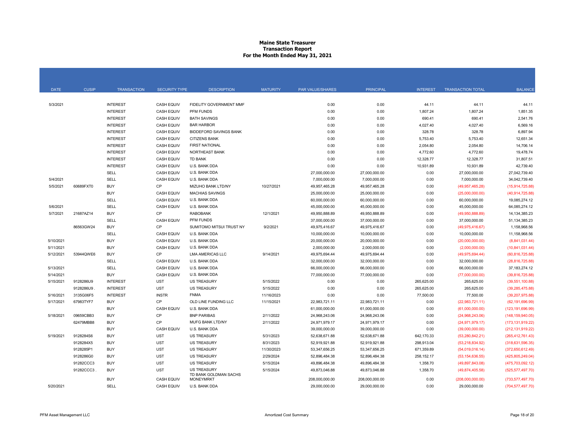#### Maine State Treasurer Transaction Report For the Month Ended May 31, 2021

| <b>DATE</b> | <b>CUSIP</b> | <b>TRANSACTION</b> | <b>SECURITY TYPE</b> | <b>DESCRIPTION</b>                          | <b>MATURITY</b> | <b>PAR VALUE/SHARES</b> | <b>PRINCIPAL</b> | <b>INTEREST</b> | <b>TRANSACTION TOTAL</b> | <b>BALANCE</b>      |
|-------------|--------------|--------------------|----------------------|---------------------------------------------|-----------------|-------------------------|------------------|-----------------|--------------------------|---------------------|
|             |              |                    |                      |                                             |                 |                         |                  |                 |                          |                     |
| 5/3/2021    |              | <b>INTEREST</b>    | <b>CASH EQUIV</b>    | FIDELITY GOVERNMENT MMF                     |                 | 0.00                    | 0.00             | 44.11           | 44.11                    | 44.11               |
|             |              | <b>INTEREST</b>    | <b>CASH EQUIV</b>    | PFM FUNDS                                   |                 | 0.00                    | 0.00             | 1,807.24        | 1,807.24                 | 1,851.35            |
|             |              | <b>INTEREST</b>    | <b>CASH EQUIV</b>    | <b>BATH SAVINGS</b>                         |                 | 0.00                    | 0.00             | 690.41          | 690.41                   | 2,541.76            |
|             |              | <b>INTEREST</b>    | <b>CASH EQUIV</b>    | <b>BAR HARBOR</b>                           |                 | 0.00                    | 0.00             | 4,027.40        | 4,027.40                 | 6,569.16            |
|             |              | <b>INTEREST</b>    | <b>CASH EQUIV</b>    | <b>BIDDEFORD SAVINGS BANK</b>               |                 | 0.00                    | 0.00             | 328.78          | 328.78                   | 6.897.94            |
|             |              | <b>INTEREST</b>    | <b>CASH EQUIV</b>    | <b>CITIZENS BANK</b>                        |                 | 0.00                    | 0.00             | 5,753.40        | 5,753.40                 | 12,651.34           |
|             |              | <b>INTEREST</b>    | <b>CASH EQUIV</b>    | FIRST NATIONAL                              |                 | 0.00                    | 0.00             | 2,054.80        | 2,054.80                 | 14,706.14           |
|             |              | <b>INTEREST</b>    | <b>CASH EQUIV</b>    | <b>NORTHEAST BANK</b>                       |                 | 0.00                    | 0.00             | 4,772.60        | 4,772.60                 | 19,478.74           |
|             |              | <b>INTEREST</b>    | <b>CASH EQUIV</b>    | <b>TD BANK</b>                              |                 | 0.00                    | 0.00             | 12,328.77       | 12,328.77                | 31,807.51           |
|             |              | <b>INTEREST</b>    | <b>CASH EQUIV</b>    | U.S. BANK DDA                               |                 | 0.00                    | 0.00             | 10,931.89       | 10,931.89                | 42,739.40           |
|             |              | SELL               | <b>CASH EQUIV</b>    | U.S. BANK DDA                               |                 | 27,000,000.00           | 27,000,000.00    | 0.00            | 27,000,000.00            | 27,042,739.40       |
| 5/4/2021    |              | SELL               | <b>CASH EQUIV</b>    | U.S. BANK DDA                               |                 | 7,000,000.00            | 7,000,000.00     | 0.00            | 7,000,000.00             | 34.042.739.40       |
| 5/5/2021    | 60689FXT0    | <b>BUY</b>         | <b>CP</b>            | MIZUHO BANK LTD/NY                          | 10/27/2021      | 49,957,465.28           | 49,957,465.28    | 0.00            | (49,957,465.28)          | (15,914,725.88)     |
|             |              | <b>BUY</b>         | <b>CASH EQUIV</b>    | <b>MACHIAS SAVINGS</b>                      |                 | 25,000,000.00           | 25,000,000.00    | 0.00            | (25,000,000.00)          | (40, 914, 725.88)   |
|             |              | SELL               | <b>CASH EQUIV</b>    | U.S. BANK DDA                               |                 | 60,000,000.00           | 60,000,000.00    | 0.00            | 60,000,000.00            | 19,085,274.12       |
| 5/6/2021    |              | SELL               | <b>CASH EQUIV</b>    | U.S. BANK DDA                               |                 | 45,000,000.00           | 45,000,000.00    | 0.00            | 45,000,000.00            | 64,085,274.12       |
| 5/7/2021    | 21687AZ14    | <b>BUY</b>         | CP                   | <b>RABOBANK</b>                             | 12/1/2021       | 49,950,888.89           | 49,950,888.89    | 0.00            | (49,950,888.89)          | 14, 134, 385. 23    |
|             |              | SELL               | <b>CASH EQUIV</b>    | PFM FUNDS                                   |                 | 37,000,000.00           | 37,000,000.00    | 0.00            | 37,000,000.00            | 51,134,385.23       |
|             | 86563GW24    | <b>BUY</b>         | CP                   | SUMITOMO MITSUI TRUST NY                    | 9/2/2021        | 49,975,416.67           | 49,975,416.67    | 0.00            | (49, 975, 416.67)        | 1,158,968.56        |
|             |              | SELL               | <b>CASH EQUIV</b>    | U.S. BANK DDA                               |                 | 10,000,000.00           | 10,000,000.00    | 0.00            | 10,000,000.00            | 11,158,968.56       |
| 5/10/2021   |              | <b>BUY</b>         | <b>CASH EQUIV</b>    | U.S. BANK DDA                               |                 | 20,000,000.00           | 20,000,000.00    | 0.00            | (20,000,000.00)          | (8,841,031.44)      |
| 5/11/2021   |              | <b>BUY</b>         | <b>CASH EQUIV</b>    | U.S. BANK DDA                               |                 | 2,000,000.00            | 2,000,000.00     | 0.00            | (2,000,000.00)           | (10,841,031.44)     |
| 5/12/2021   | 53944QWE6    | <b>BUY</b>         | CP                   | <b>LMA AMERICAS LLC</b>                     | 9/14/2021       | 49,975,694.44           | 49,975,694.44    | 0.00            | (49, 975, 694.44)        | (60, 816, 725.88)   |
|             |              | SELL               | <b>CASH EQUIV</b>    | U.S. BANK DDA                               |                 | 32,000,000.00           | 32,000,000.00    | 0.00            | 32,000,000.00            | (28, 816, 725.88)   |
| 5/13/2021   |              | SELL               | <b>CASH EQUIV</b>    | U.S. BANK DDA                               |                 | 66,000,000.00           | 66,000,000.00    | 0.00            | 66,000,000.00            | 37, 183, 274. 12    |
| 5/14/2021   |              | <b>BUY</b>         | <b>CASH EQUIV</b>    | U.S. BANK DDA                               |                 | 77,000,000.00           | 77,000,000.00    | 0.00            | (77,000,000.00)          | (39.816.725.88)     |
| 5/15/2021   | 9128286U9    | <b>INTEREST</b>    | <b>UST</b>           | <b>US TREASURY</b>                          | 5/15/2022       | 0.00                    | 0.00             | 265,625.00      | 265,625.00               | (39,551,100.88)     |
|             | 9128286U9    | <b>INTEREST</b>    | <b>UST</b>           | <b>US TREASURY</b>                          | 5/15/2022       | 0.00                    | 0.00             | 265,625.00      | 265,625.00               | (39, 285, 475.88)   |
| 5/16/2021   | 3135G06F5    | <b>INTEREST</b>    | <b>INSTR</b>         | <b>FNMA</b>                                 | 11/16/2023      | 0.00                    | 0.00             | 77,500.00       | 77,500.00                | (39, 207, 975.88)   |
| 5/17/2021   | 67983TYF7    | <b>BUY</b>         | <b>CP</b>            | OLD LINE FUNDING LLC                        | 11/15/2021      | 22,983,721.11           | 22,983,721.11    | 0.00            | (22,983,721.11)          | (62, 191, 696.99)   |
|             |              | <b>BUY</b>         | <b>CASH EQUIV</b>    | U.S. BANK DDA                               |                 | 61,000,000.00           | 61,000,000.00    | 0.00            | (61,000,000.00)          | (123, 191, 696.99)  |
| 5/18/2021   | 09659CBB3    | <b>BUY</b>         | <b>CP</b>            | <b>BNP PARIBAS</b>                          | 2/11/2022       | 24,968,243.06           | 24,968,243.06    | 0.00            | (24,968,243.06)          | (148, 159, 940.05)  |
|             | 62479MBB8    | <b>BUY</b>         | CP                   | MUFG BANK LTD/NY                            | 2/11/2022       | 24,971,979.17           | 24,971,979.17    | 0.00            | (24, 971, 979.17)        | (173, 131, 919.22)  |
|             |              | <b>BUY</b>         | <b>CASH EQUIV</b>    | U.S. BANK DDA                               |                 | 39,000,000.00           | 39,000,000.00    | 0.00            | (39,000,000.00)          | (212, 131, 919. 22) |
| 5/19/2021   | 9128284S6    | <b>BUY</b>         | <b>UST</b>           | <b>US TREASURY</b>                          | 5/31/2023       | 52,638,671.88           | 52,638,671.88    | 642,170.33      | (53, 280, 842.21)        | (265, 412, 761.43)  |
|             | 9128284X5    | <b>BUY</b>         | <b>UST</b>           | <b>US TREASURY</b>                          | 8/31/2023       | 52,919,921.88           | 52,919,921.88    | 298,913.04      | (53,218,834.92)          | (318, 631, 596.35)  |
|             | 9128285P1    | <b>BUY</b>         | <b>UST</b>           | <b>US TREASURY</b>                          | 11/30/2023      | 53,347,656.25           | 53,347,656.25    | 671,359.89      | (54,019,016.14)          | (372,650,612.49)    |
|             | 9128286G0    | <b>BUY</b>         | <b>UST</b>           | <b>US TREASURY</b>                          | 2/29/2024       | 52,896,484.38           | 52,896,484.38    | 258, 152.17     | (53, 154, 636.55)        | (425, 805, 249.04)  |
|             | 91282CCC3    | <b>BUY</b>         | <b>UST</b>           | <b>US TREASURY</b>                          | 5/15/2024       | 49,896,484.38           | 49,896,484.38    | 1,358.70        | (49,897,843.08)          | (475, 703, 092.12)  |
|             | 91282CCC3    | <b>BUY</b>         | <b>UST</b>           | <b>US TREASURY</b><br>TD BANK GOLDMAN SACHS | 5/15/2024       | 49,873,046.88           | 49,873,046.88    | 1,358.70        | (49,874,405.58)          | (525, 577, 497.70)  |
|             |              | <b>BUY</b>         | <b>CASH EQUIV</b>    | <b>MONEYMRKT</b>                            |                 | 208,000,000.00          | 208,000,000.00   | 0.00            | (208,000,000.00)         | (733, 577, 497.70)  |
| 5/20/2021   |              | <b>SELL</b>        | <b>CASH EQUIV</b>    | U.S. BANK DDA                               |                 | 29,000,000.00           | 29,000,000.00    | 0.00            | 29,000,000.00            | (704, 577, 497.70)  |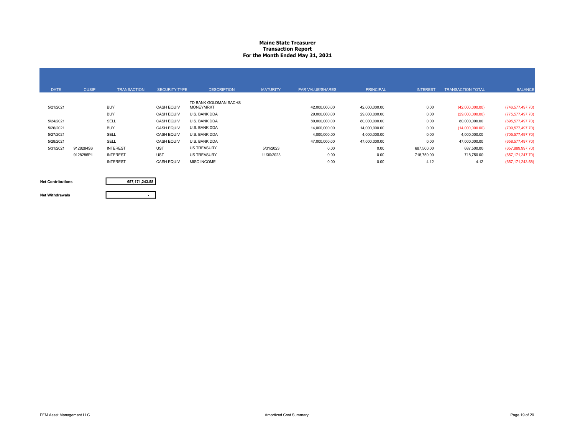#### Maine State Treasurer Transaction Report For the Month Ended May 31, 2021

| <b>DATE</b> | <b>CUSIP</b> | <b>TRANSACTION</b> | <b>SECURITY TYPE</b> | <b>DESCRIPTION</b>                        | <b>MATURITY</b> | <b>PAR VALUE/SHARES</b> | <b>PRINCIPAL</b> | <b>INTEREST</b> | <b>TRANSACTION TOTAL</b> | <b>BALANCE</b>     |
|-------------|--------------|--------------------|----------------------|-------------------------------------------|-----------------|-------------------------|------------------|-----------------|--------------------------|--------------------|
| 5/21/2021   |              | <b>BUY</b>         | <b>CASH EQUIV</b>    | TD BANK GOLDMAN SACHS<br><b>MONEYMRKT</b> |                 | 42,000,000.00           | 42,000,000.00    | 0.00            | (42,000,000.00)          | (746, 577, 497.70) |
|             |              | <b>BUY</b>         | <b>CASH EQUIV</b>    | U.S. BANK DDA                             |                 | 29.000.000.00           | 29,000,000.00    | 0.00            | (29,000,000.00)          | (775, 577, 497.70) |
| 5/24/2021   |              | SELL               | <b>CASH EQUIV</b>    | U.S. BANK DDA                             |                 | 80,000,000.00           | 80,000,000.00    | 0.00            | 80,000,000.00            | (695, 577, 497.70) |
| 5/26/2021   |              | <b>BUY</b>         | <b>CASH EQUIV</b>    | U.S. BANK DDA                             |                 | 14,000,000.00           | 14,000,000.00    | 0.00            | (14,000,000.00)          | (709, 577, 497.70) |
| 5/27/2021   |              | SELL               | <b>CASH EQUIV</b>    | U.S. BANK DDA                             |                 | 4,000,000.00            | 4,000,000.00     | 0.00            | 4.000.000.00             | (705, 577, 497.70) |
| 5/28/2021   |              | SELL               | <b>CASH EQUIV</b>    | U.S. BANK DDA                             |                 | 47,000,000.00           | 47,000,000.00    | 0.00            | 47,000,000.00            | (658, 577, 497.70) |
| 5/31/2021   | 9128284S6    | <b>INTEREST</b>    | <b>UST</b>           | <b>US TREASURY</b>                        | 5/31/2023       | 0.00                    | 0.00             | 687,500.00      | 687,500.00               | (657, 889, 997.70) |
|             | 9128285P1    | <b>INTEREST</b>    | <b>UST</b>           | <b>US TREASURY</b>                        | 11/30/2023      | 0.00                    | 0.00             | 718,750.00      | 718.750.00               | (657, 171, 247.70) |
|             |              | <b>INTEREST</b>    | <b>CASH EQUIV</b>    | <b>MISC INCOME</b>                        |                 | 0.00                    | 0.00             | 4.12            | 4.12                     | (657, 171, 243.58) |

Net Contributions

657,171,243.58

#### Net Withdrawals

-